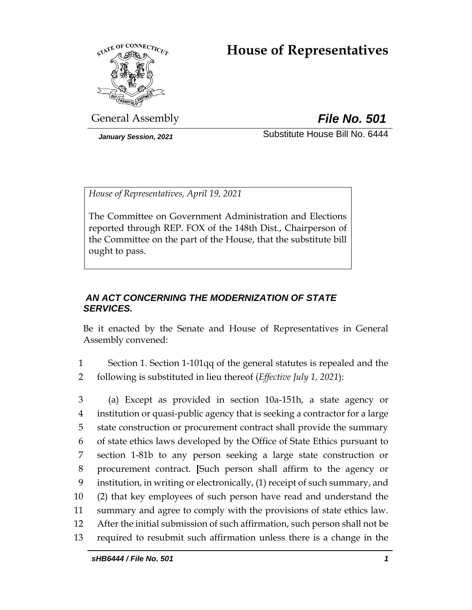# **House of Representatives**



General Assembly *File No. 501*

*January Session, 2021* Substitute House Bill No. 6444

*House of Representatives, April 19, 2021*

The Committee on Government Administration and Elections reported through REP. FOX of the 148th Dist., Chairperson of the Committee on the part of the House, that the substitute bill ought to pass.

## *AN ACT CONCERNING THE MODERNIZATION OF STATE SERVICES.*

Be it enacted by the Senate and House of Representatives in General Assembly convened:

1 Section 1. Section 1-101qq of the general statutes is repealed and the 2 following is substituted in lieu thereof (*Effective July 1, 2021*):

 (a) Except as provided in section 10a-151h, a state agency or institution or quasi-public agency that is seeking a contractor for a large state construction or procurement contract shall provide the summary of state ethics laws developed by the Office of State Ethics pursuant to section 1-81b to any person seeking a large state construction or procurement contract. **[**Such person shall affirm to the agency or institution, in writing or electronically, (1) receipt of such summary, and (2) that key employees of such person have read and understand the summary and agree to comply with the provisions of state ethics law. After the initial submission of such affirmation, such person shall not be required to resubmit such affirmation unless there is a change in the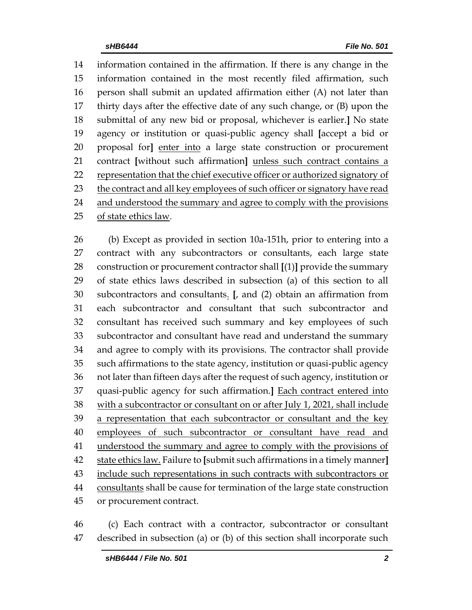information contained in the affirmation. If there is any change in the information contained in the most recently filed affirmation, such person shall submit an updated affirmation either (A) not later than thirty days after the effective date of any such change, or (B) upon the submittal of any new bid or proposal, whichever is earlier.**]** No state agency or institution or quasi-public agency shall **[**accept a bid or proposal for**]** enter into a large state construction or procurement contract **[**without such affirmation**]** unless such contract contains a representation that the chief executive officer or authorized signatory of 23 the contract and all key employees of such officer or signatory have read 24 and understood the summary and agree to comply with the provisions of state ethics law.

 (b) Except as provided in section 10a-151h, prior to entering into a contract with any subcontractors or consultants, each large state construction or procurement contractor shall **[**(1)**]** provide the summary of state ethics laws described in subsection (a) of this section to all subcontractors and consultants. **[**, and (2) obtain an affirmation from each subcontractor and consultant that such subcontractor and consultant has received such summary and key employees of such subcontractor and consultant have read and understand the summary and agree to comply with its provisions. The contractor shall provide such affirmations to the state agency, institution or quasi-public agency not later than fifteen days after the request of such agency, institution or quasi-public agency for such affirmation.**]** Each contract entered into 38 with a subcontractor or consultant on or after July 1, 2021, shall include 39 a representation that each subcontractor or consultant and the key employees of such subcontractor or consultant have read and 41 understood the summary and agree to comply with the provisions of state ethics law. Failure to **[**submit such affirmations in a timely manner**]** include such representations in such contracts with subcontractors or consultants shall be cause for termination of the large state construction or procurement contract.

 (c) Each contract with a contractor, subcontractor or consultant described in subsection (a) or (b) of this section shall incorporate such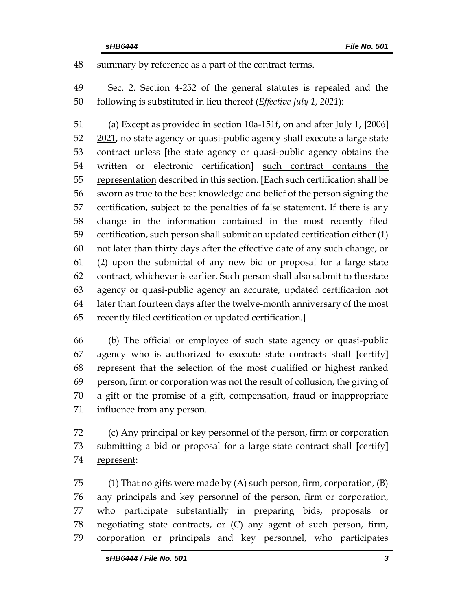summary by reference as a part of the contract terms.

 Sec. 2. Section 4-252 of the general statutes is repealed and the following is substituted in lieu thereof (*Effective July 1, 2021*):

 (a) Except as provided in section 10a-151f, on and after July 1, **[**2006**]** 52 2021, no state agency or quasi-public agency shall execute a large state contract unless **[**the state agency or quasi-public agency obtains the written or electronic certification**]** such contract contains the representation described in this section. **[**Each such certification shall be sworn as true to the best knowledge and belief of the person signing the certification, subject to the penalties of false statement. If there is any change in the information contained in the most recently filed certification, such person shall submit an updated certification either (1) not later than thirty days after the effective date of any such change, or (2) upon the submittal of any new bid or proposal for a large state contract, whichever is earlier. Such person shall also submit to the state agency or quasi-public agency an accurate, updated certification not later than fourteen days after the twelve-month anniversary of the most recently filed certification or updated certification.**]**

 (b) The official or employee of such state agency or quasi-public agency who is authorized to execute state contracts shall **[**certify**]** represent that the selection of the most qualified or highest ranked person, firm or corporation was not the result of collusion, the giving of a gift or the promise of a gift, compensation, fraud or inappropriate influence from any person.

 (c) Any principal or key personnel of the person, firm or corporation submitting a bid or proposal for a large state contract shall **[**certify**]** represent:

75 (1) That no gifts were made by  $(A)$  such person, firm, corporation,  $(B)$  any principals and key personnel of the person, firm or corporation, who participate substantially in preparing bids, proposals or negotiating state contracts, or (C) any agent of such person, firm, corporation or principals and key personnel, who participates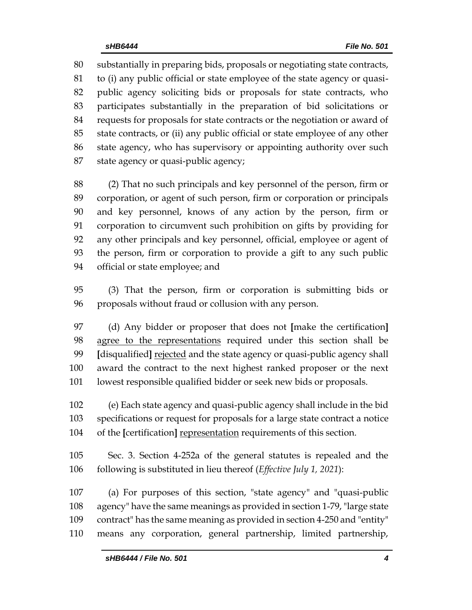substantially in preparing bids, proposals or negotiating state contracts, to (i) any public official or state employee of the state agency or quasi- public agency soliciting bids or proposals for state contracts, who participates substantially in the preparation of bid solicitations or requests for proposals for state contracts or the negotiation or award of state contracts, or (ii) any public official or state employee of any other state agency, who has supervisory or appointing authority over such state agency or quasi-public agency;

 (2) That no such principals and key personnel of the person, firm or corporation, or agent of such person, firm or corporation or principals and key personnel, knows of any action by the person, firm or corporation to circumvent such prohibition on gifts by providing for any other principals and key personnel, official, employee or agent of the person, firm or corporation to provide a gift to any such public official or state employee; and

 (3) That the person, firm or corporation is submitting bids or proposals without fraud or collusion with any person.

 (d) Any bidder or proposer that does not **[**make the certification**]** agree to the representations required under this section shall be **[**disqualified**]** rejected and the state agency or quasi-public agency shall award the contract to the next highest ranked proposer or the next lowest responsible qualified bidder or seek new bids or proposals.

 (e) Each state agency and quasi-public agency shall include in the bid specifications or request for proposals for a large state contract a notice of the **[**certification**]** representation requirements of this section.

 Sec. 3. Section 4-252a of the general statutes is repealed and the following is substituted in lieu thereof (*Effective July 1, 2021*):

 (a) For purposes of this section, "state agency" and "quasi-public agency" have the same meanings as provided in section 1-79, "large state contract" has the same meaning as provided in section 4-250 and "entity" means any corporation, general partnership, limited partnership,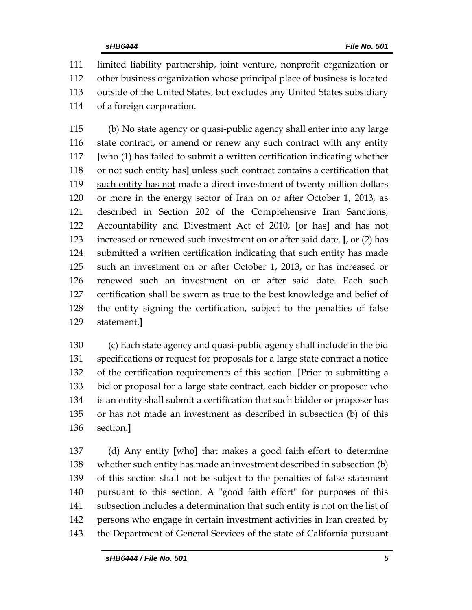limited liability partnership, joint venture, nonprofit organization or other business organization whose principal place of business is located outside of the United States, but excludes any United States subsidiary of a foreign corporation.

 (b) No state agency or quasi-public agency shall enter into any large state contract, or amend or renew any such contract with any entity **[**who (1) has failed to submit a written certification indicating whether or not such entity has**]** unless such contract contains a certification that such entity has not made a direct investment of twenty million dollars or more in the energy sector of Iran on or after October 1, 2013, as described in Section 202 of the Comprehensive Iran Sanctions, Accountability and Divestment Act of 2010, **[**or has**]** and has not increased or renewed such investment on or after said date. **[**, or (2) has submitted a written certification indicating that such entity has made such an investment on or after October 1, 2013, or has increased or renewed such an investment on or after said date. Each such certification shall be sworn as true to the best knowledge and belief of the entity signing the certification, subject to the penalties of false statement.**]**

 (c) Each state agency and quasi-public agency shall include in the bid specifications or request for proposals for a large state contract a notice of the certification requirements of this section. **[**Prior to submitting a bid or proposal for a large state contract, each bidder or proposer who is an entity shall submit a certification that such bidder or proposer has or has not made an investment as described in subsection (b) of this section.**]**

 (d) Any entity **[**who**]** that makes a good faith effort to determine whether such entity has made an investment described in subsection (b) of this section shall not be subject to the penalties of false statement pursuant to this section. A "good faith effort" for purposes of this subsection includes a determination that such entity is not on the list of persons who engage in certain investment activities in Iran created by the Department of General Services of the state of California pursuant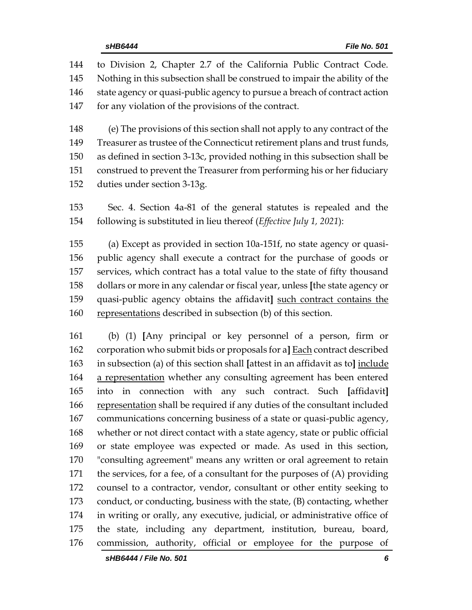| 144 | to Division 2, Chapter 2.7 of the California Public Contract Code.          |
|-----|-----------------------------------------------------------------------------|
| 145 | Nothing in this subsection shall be construed to impair the ability of the  |
| 146 | state agency or quasi-public agency to pursue a breach of contract action   |
| 147 | for any violation of the provisions of the contract.                        |
| 148 | (e) The provisions of this section shall not apply to any contract of the   |
| 149 | Treasurer as trustee of the Connecticut retirement plans and trust funds,   |
| 150 | as defined in section 3-13c, provided nothing in this subsection shall be   |
| 151 | construed to prevent the Treasurer from performing his or her fiduciary     |
| 152 | duties under section 3-13g.                                                 |
| 153 | Sec. 4. Section 4a-81 of the general statutes is repealed and the           |
| 154 | following is substituted in lieu thereof (Effective July 1, 2021):          |
| 155 | (a) Except as provided in section 10a-151f, no state agency or quasi-       |
| 156 | public agency shall execute a contract for the purchase of goods or         |
| 157 | services, which contract has a total value to the state of fifty thousand   |
| 158 | dollars or more in any calendar or fiscal year, unless [the state agency or |
| 159 | quasi-public agency obtains the affidavit] such contract contains the       |
| 160 | representations described in subsection (b) of this section.                |
| 161 | (b) (1) [Any principal or key personnel of a person, firm or                |

 corporation who submit bids or proposals for a**]** Each contract described in subsection (a) of this section shall **[**attest in an affidavit as to**]** include 164 a representation whether any consulting agreement has been entered into in connection with any such contract. Such **[**affidavit**]** 166 representation shall be required if any duties of the consultant included communications concerning business of a state or quasi-public agency, whether or not direct contact with a state agency, state or public official or state employee was expected or made. As used in this section, "consulting agreement" means any written or oral agreement to retain the services, for a fee, of a consultant for the purposes of (A) providing counsel to a contractor, vendor, consultant or other entity seeking to conduct, or conducting, business with the state, (B) contacting, whether in writing or orally, any executive, judicial, or administrative office of the state, including any department, institution, bureau, board, commission, authority, official or employee for the purpose of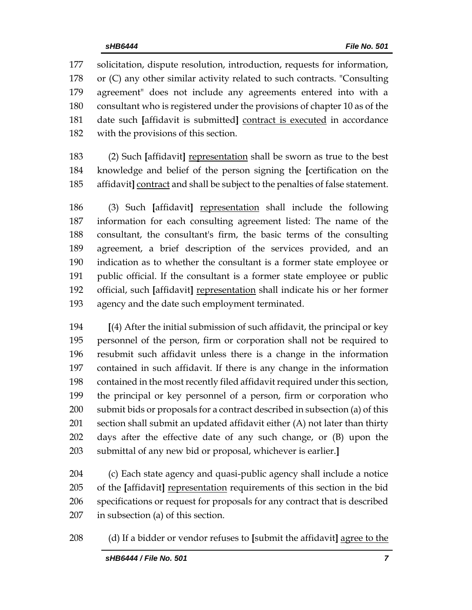solicitation, dispute resolution, introduction, requests for information, or (C) any other similar activity related to such contracts. "Consulting agreement" does not include any agreements entered into with a consultant who is registered under the provisions of chapter 10 as of the date such **[**affidavit is submitted**]** contract is executed in accordance with the provisions of this section.

 (2) Such **[**affidavit**]** representation shall be sworn as true to the best knowledge and belief of the person signing the **[**certification on the affidavit**]** contract and shall be subject to the penalties of false statement.

 (3) Such **[**affidavit**]** representation shall include the following information for each consulting agreement listed: The name of the consultant, the consultant's firm, the basic terms of the consulting agreement, a brief description of the services provided, and an indication as to whether the consultant is a former state employee or public official. If the consultant is a former state employee or public official, such **[**affidavit**]** representation shall indicate his or her former agency and the date such employment terminated.

 **[**(4) After the initial submission of such affidavit, the principal or key personnel of the person, firm or corporation shall not be required to resubmit such affidavit unless there is a change in the information contained in such affidavit. If there is any change in the information contained in the most recently filed affidavit required under this section, the principal or key personnel of a person, firm or corporation who submit bids or proposals for a contract described in subsection (a) of this section shall submit an updated affidavit either (A) not later than thirty days after the effective date of any such change, or (B) upon the submittal of any new bid or proposal, whichever is earlier.**]**

 (c) Each state agency and quasi-public agency shall include a notice of the **[**affidavit**]** representation requirements of this section in the bid specifications or request for proposals for any contract that is described in subsection (a) of this section.

(d) If a bidder or vendor refuses to **[**submit the affidavit**]** agree to the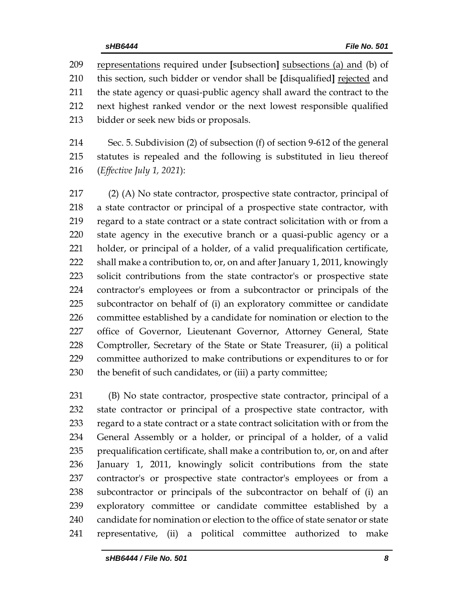representations required under **[**subsection**]** subsections (a) and (b) of this section, such bidder or vendor shall be **[**disqualified**]** rejected and the state agency or quasi-public agency shall award the contract to the next highest ranked vendor or the next lowest responsible qualified bidder or seek new bids or proposals.

 Sec. 5. Subdivision (2) of subsection (f) of section 9-612 of the general statutes is repealed and the following is substituted in lieu thereof (*Effective July 1, 2021*):

 (2) (A) No state contractor, prospective state contractor, principal of a state contractor or principal of a prospective state contractor, with regard to a state contract or a state contract solicitation with or from a state agency in the executive branch or a quasi-public agency or a holder, or principal of a holder, of a valid prequalification certificate, shall make a contribution to, or, on and after January 1, 2011, knowingly solicit contributions from the state contractor's or prospective state contractor's employees or from a subcontractor or principals of the subcontractor on behalf of (i) an exploratory committee or candidate committee established by a candidate for nomination or election to the office of Governor, Lieutenant Governor, Attorney General, State Comptroller, Secretary of the State or State Treasurer, (ii) a political committee authorized to make contributions or expenditures to or for the benefit of such candidates, or (iii) a party committee;

 (B) No state contractor, prospective state contractor, principal of a state contractor or principal of a prospective state contractor, with regard to a state contract or a state contract solicitation with or from the General Assembly or a holder, or principal of a holder, of a valid prequalification certificate, shall make a contribution to, or, on and after January 1, 2011, knowingly solicit contributions from the state contractor's or prospective state contractor's employees or from a subcontractor or principals of the subcontractor on behalf of (i) an exploratory committee or candidate committee established by a candidate for nomination or election to the office of state senator or state representative, (ii) a political committee authorized to make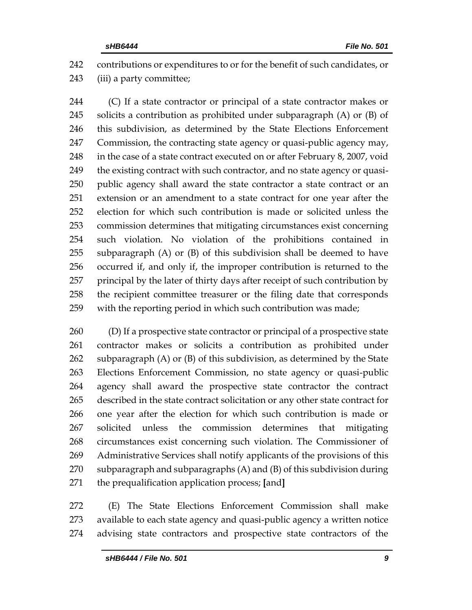contributions or expenditures to or for the benefit of such candidates, or (iii) a party committee;

 (C) If a state contractor or principal of a state contractor makes or solicits a contribution as prohibited under subparagraph (A) or (B) of this subdivision, as determined by the State Elections Enforcement Commission, the contracting state agency or quasi-public agency may, 248 in the case of a state contract executed on or after February 8, 2007, void 249 the existing contract with such contractor, and no state agency or quasi- public agency shall award the state contractor a state contract or an extension or an amendment to a state contract for one year after the election for which such contribution is made or solicited unless the commission determines that mitigating circumstances exist concerning such violation. No violation of the prohibitions contained in subparagraph (A) or (B) of this subdivision shall be deemed to have occurred if, and only if, the improper contribution is returned to the principal by the later of thirty days after receipt of such contribution by the recipient committee treasurer or the filing date that corresponds with the reporting period in which such contribution was made;

 (D) If a prospective state contractor or principal of a prospective state contractor makes or solicits a contribution as prohibited under subparagraph (A) or (B) of this subdivision, as determined by the State Elections Enforcement Commission, no state agency or quasi-public agency shall award the prospective state contractor the contract described in the state contract solicitation or any other state contract for one year after the election for which such contribution is made or solicited unless the commission determines that mitigating circumstances exist concerning such violation. The Commissioner of Administrative Services shall notify applicants of the provisions of this subparagraph and subparagraphs (A) and (B) of this subdivision during the prequalification application process; **[**and**]**

 (E) The State Elections Enforcement Commission shall make available to each state agency and quasi-public agency a written notice advising state contractors and prospective state contractors of the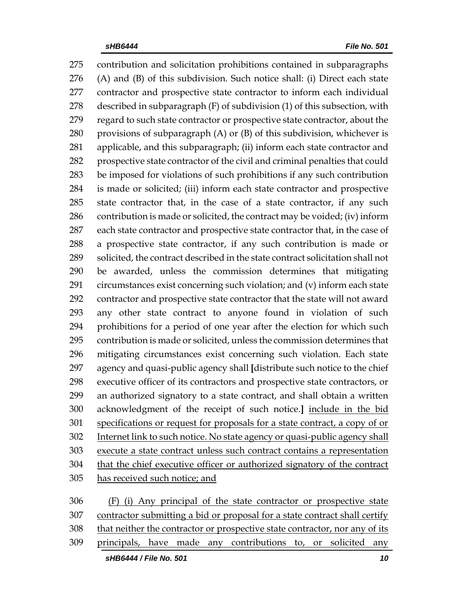contribution and solicitation prohibitions contained in subparagraphs (A) and (B) of this subdivision. Such notice shall: (i) Direct each state contractor and prospective state contractor to inform each individual described in subparagraph (F) of subdivision (1) of this subsection, with regard to such state contractor or prospective state contractor, about the 280 provisions of subparagraph  $(A)$  or  $(B)$  of this subdivision, whichever is applicable, and this subparagraph; (ii) inform each state contractor and prospective state contractor of the civil and criminal penalties that could be imposed for violations of such prohibitions if any such contribution is made or solicited; (iii) inform each state contractor and prospective state contractor that, in the case of a state contractor, if any such contribution is made or solicited, the contract may be voided; (iv) inform each state contractor and prospective state contractor that, in the case of a prospective state contractor, if any such contribution is made or solicited, the contract described in the state contract solicitation shall not be awarded, unless the commission determines that mitigating circumstances exist concerning such violation; and (v) inform each state contractor and prospective state contractor that the state will not award any other state contract to anyone found in violation of such prohibitions for a period of one year after the election for which such contribution is made or solicited, unless the commission determines that mitigating circumstances exist concerning such violation. Each state agency and quasi-public agency shall **[**distribute such notice to the chief executive officer of its contractors and prospective state contractors, or an authorized signatory to a state contract, and shall obtain a written acknowledgment of the receipt of such notice.**]** include in the bid specifications or request for proposals for a state contract, a copy of or Internet link to such notice. No state agency or quasi-public agency shall execute a state contract unless such contract contains a representation that the chief executive officer or authorized signatory of the contract has received such notice; and (F) (i) Any principal of the state contractor or prospective state

 contractor submitting a bid or proposal for a state contract shall certify that neither the contractor or prospective state contractor, nor any of its principals, have made any contributions to, or solicited any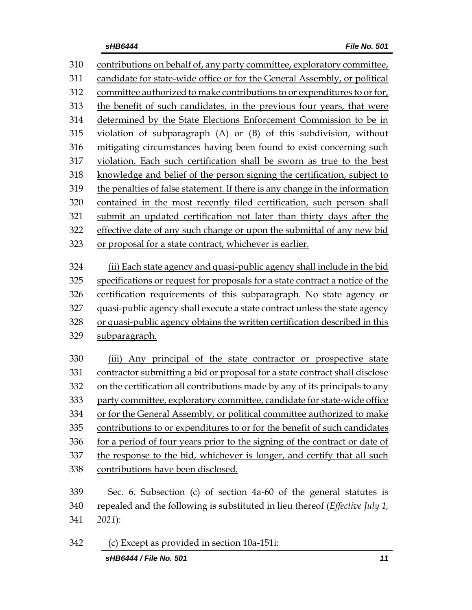contributions on behalf of, any party committee, exploratory committee, candidate for state-wide office or for the General Assembly, or political committee authorized to make contributions to or expenditures to or for, the benefit of such candidates, in the previous four years, that were determined by the State Elections Enforcement Commission to be in violation of subparagraph (A) or (B) of this subdivision, without mitigating circumstances having been found to exist concerning such violation. Each such certification shall be sworn as true to the best knowledge and belief of the person signing the certification, subject to the penalties of false statement. If there is any change in the information contained in the most recently filed certification, such person shall submit an updated certification not later than thirty days after the effective date of any such change or upon the submittal of any new bid or proposal for a state contract, whichever is earlier. (ii) Each state agency and quasi-public agency shall include in the bid specifications or request for proposals for a state contract a notice of the certification requirements of this subparagraph. No state agency or quasi-public agency shall execute a state contract unless the state agency or quasi-public agency obtains the written certification described in this subparagraph. (iii) Any principal of the state contractor or prospective state contractor submitting a bid or proposal for a state contract shall disclose on the certification all contributions made by any of its principals to any party committee, exploratory committee, candidate for state-wide office or for the General Assembly, or political committee authorized to make contributions to or expenditures to or for the benefit of such candidates for a period of four years prior to the signing of the contract or date of the response to the bid, whichever is longer, and certify that all such contributions have been disclosed. Sec. 6. Subsection (c) of section 4a-60 of the general statutes is repealed and the following is substituted in lieu thereof (*Effective July 1, 2021*): (c) Except as provided in section 10a-151i: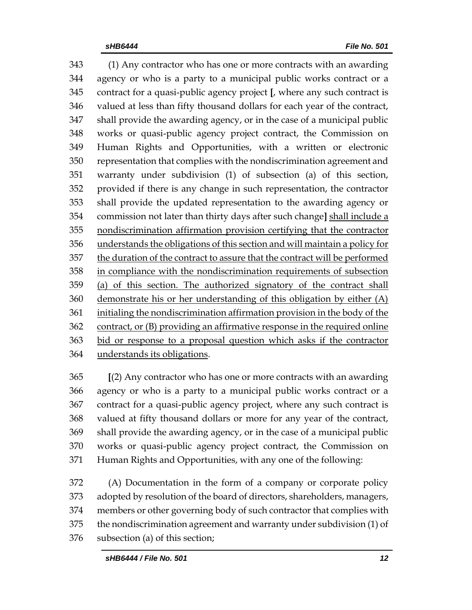(1) Any contractor who has one or more contracts with an awarding agency or who is a party to a municipal public works contract or a contract for a quasi-public agency project **[**, where any such contract is valued at less than fifty thousand dollars for each year of the contract, shall provide the awarding agency, or in the case of a municipal public works or quasi-public agency project contract, the Commission on Human Rights and Opportunities, with a written or electronic representation that complies with the nondiscrimination agreement and warranty under subdivision (1) of subsection (a) of this section, provided if there is any change in such representation, the contractor shall provide the updated representation to the awarding agency or commission not later than thirty days after such change**]** shall include a nondiscrimination affirmation provision certifying that the contractor understands the obligations of this section and will maintain a policy for 357 the duration of the contract to assure that the contract will be performed in compliance with the nondiscrimination requirements of subsection (a) of this section. The authorized signatory of the contract shall demonstrate his or her understanding of this obligation by either (A) initialing the nondiscrimination affirmation provision in the body of the contract, or (B) providing an affirmative response in the required online bid or response to a proposal question which asks if the contractor understands its obligations.

 **[**(2) Any contractor who has one or more contracts with an awarding agency or who is a party to a municipal public works contract or a contract for a quasi-public agency project, where any such contract is valued at fifty thousand dollars or more for any year of the contract, shall provide the awarding agency, or in the case of a municipal public works or quasi-public agency project contract, the Commission on Human Rights and Opportunities, with any one of the following:

 (A) Documentation in the form of a company or corporate policy adopted by resolution of the board of directors, shareholders, managers, members or other governing body of such contractor that complies with the nondiscrimination agreement and warranty under subdivision (1) of subsection (a) of this section;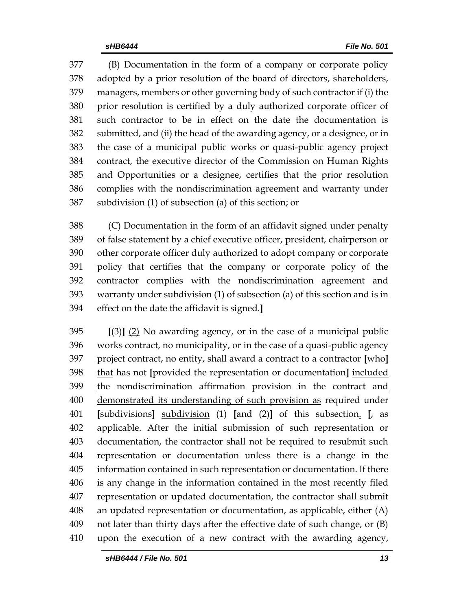(B) Documentation in the form of a company or corporate policy adopted by a prior resolution of the board of directors, shareholders, managers, members or other governing body of such contractor if (i) the prior resolution is certified by a duly authorized corporate officer of such contractor to be in effect on the date the documentation is submitted, and (ii) the head of the awarding agency, or a designee, or in the case of a municipal public works or quasi-public agency project contract, the executive director of the Commission on Human Rights and Opportunities or a designee, certifies that the prior resolution complies with the nondiscrimination agreement and warranty under subdivision (1) of subsection (a) of this section; or

 (C) Documentation in the form of an affidavit signed under penalty of false statement by a chief executive officer, president, chairperson or other corporate officer duly authorized to adopt company or corporate policy that certifies that the company or corporate policy of the contractor complies with the nondiscrimination agreement and warranty under subdivision (1) of subsection (a) of this section and is in effect on the date the affidavit is signed.**]**

 **[**(3)**]** (2) No awarding agency, or in the case of a municipal public works contract, no municipality, or in the case of a quasi-public agency project contract, no entity, shall award a contract to a contractor **[**who**]** that has not **[**provided the representation or documentation**]** included the nondiscrimination affirmation provision in the contract and demonstrated its understanding of such provision as required under **[**subdivisions**]** subdivision (1) **[**and (2)**]** of this subsection. **[**, as applicable. After the initial submission of such representation or documentation, the contractor shall not be required to resubmit such representation or documentation unless there is a change in the information contained in such representation or documentation. If there is any change in the information contained in the most recently filed representation or updated documentation, the contractor shall submit an updated representation or documentation, as applicable, either (A) not later than thirty days after the effective date of such change, or (B) upon the execution of a new contract with the awarding agency,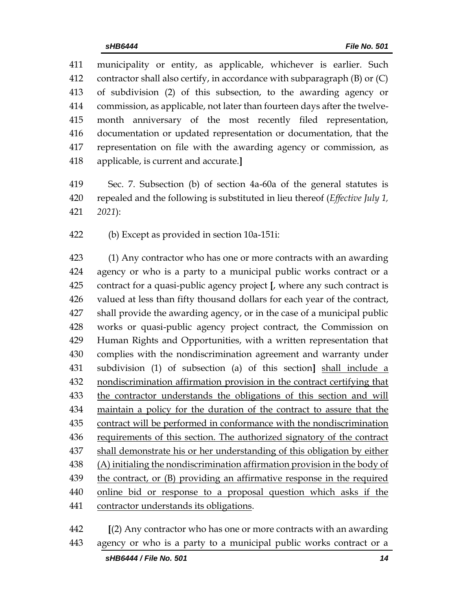municipality or entity, as applicable, whichever is earlier. Such contractor shall also certify, in accordance with subparagraph (B) or (C) of subdivision (2) of this subsection, to the awarding agency or commission, as applicable, not later than fourteen days after the twelve- month anniversary of the most recently filed representation, documentation or updated representation or documentation, that the representation on file with the awarding agency or commission, as applicable, is current and accurate.**]**

 Sec. 7. Subsection (b) of section 4a-60a of the general statutes is repealed and the following is substituted in lieu thereof (*Effective July 1, 2021*):

(b) Except as provided in section 10a-151i:

 (1) Any contractor who has one or more contracts with an awarding agency or who is a party to a municipal public works contract or a contract for a quasi-public agency project **[**, where any such contract is valued at less than fifty thousand dollars for each year of the contract, shall provide the awarding agency, or in the case of a municipal public works or quasi-public agency project contract, the Commission on Human Rights and Opportunities, with a written representation that complies with the nondiscrimination agreement and warranty under subdivision (1) of subsection (a) of this section**]** shall include a nondiscrimination affirmation provision in the contract certifying that the contractor understands the obligations of this section and will maintain a policy for the duration of the contract to assure that the contract will be performed in conformance with the nondiscrimination requirements of this section. The authorized signatory of the contract shall demonstrate his or her understanding of this obligation by either 438 (A) initialing the nondiscrimination affirmation provision in the body of 439 the contract, or (B) providing an affirmative response in the required online bid or response to a proposal question which asks if the contractor understands its obligations.

 **[**(2) Any contractor who has one or more contracts with an awarding agency or who is a party to a municipal public works contract or a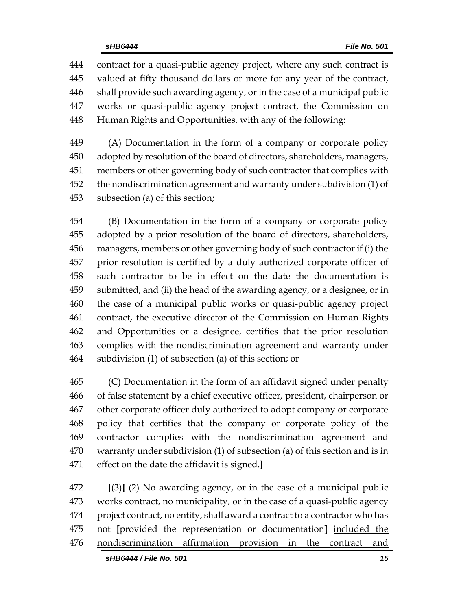contract for a quasi-public agency project, where any such contract is valued at fifty thousand dollars or more for any year of the contract, shall provide such awarding agency, or in the case of a municipal public works or quasi-public agency project contract, the Commission on Human Rights and Opportunities, with any of the following:

 (A) Documentation in the form of a company or corporate policy adopted by resolution of the board of directors, shareholders, managers, members or other governing body of such contractor that complies with the nondiscrimination agreement and warranty under subdivision (1) of subsection (a) of this section;

 (B) Documentation in the form of a company or corporate policy adopted by a prior resolution of the board of directors, shareholders, managers, members or other governing body of such contractor if (i) the prior resolution is certified by a duly authorized corporate officer of such contractor to be in effect on the date the documentation is submitted, and (ii) the head of the awarding agency, or a designee, or in the case of a municipal public works or quasi-public agency project contract, the executive director of the Commission on Human Rights and Opportunities or a designee, certifies that the prior resolution complies with the nondiscrimination agreement and warranty under subdivision (1) of subsection (a) of this section; or

 (C) Documentation in the form of an affidavit signed under penalty of false statement by a chief executive officer, president, chairperson or other corporate officer duly authorized to adopt company or corporate policy that certifies that the company or corporate policy of the contractor complies with the nondiscrimination agreement and warranty under subdivision (1) of subsection (a) of this section and is in effect on the date the affidavit is signed.**]**

 **[**(3)**]** (2) No awarding agency, or in the case of a municipal public works contract, no municipality, or in the case of a quasi-public agency project contract, no entity, shall award a contract to a contractor who has not **[**provided the representation or documentation**]** included the nondiscrimination affirmation provision in the contract and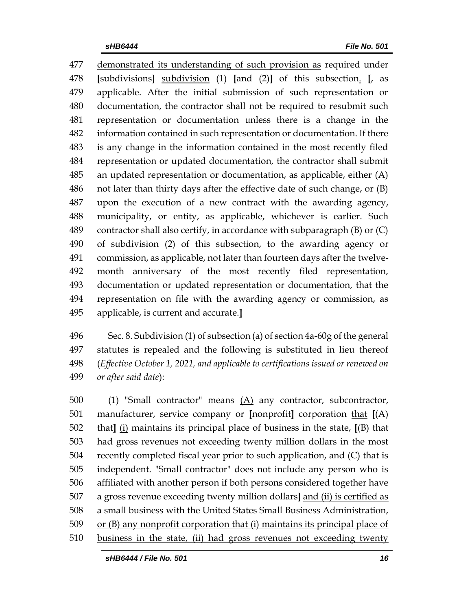demonstrated its understanding of such provision as required under **[**subdivisions**]** subdivision (1) **[**and (2)**]** of this subsection. **[**, as applicable. After the initial submission of such representation or documentation, the contractor shall not be required to resubmit such representation or documentation unless there is a change in the information contained in such representation or documentation. If there is any change in the information contained in the most recently filed representation or updated documentation, the contractor shall submit an updated representation or documentation, as applicable, either (A) not later than thirty days after the effective date of such change, or (B) upon the execution of a new contract with the awarding agency, municipality, or entity, as applicable, whichever is earlier. Such contractor shall also certify, in accordance with subparagraph (B) or (C) of subdivision (2) of this subsection, to the awarding agency or commission, as applicable, not later than fourteen days after the twelve- month anniversary of the most recently filed representation, documentation or updated representation or documentation, that the representation on file with the awarding agency or commission, as applicable, is current and accurate.**]**

 Sec. 8. Subdivision (1) of subsection (a) of section 4a-60g of the general statutes is repealed and the following is substituted in lieu thereof (*Effective October 1, 2021, and applicable to certifications issued or renewed on or after said date*):

 (1) "Small contractor" means (A) any contractor, subcontractor, manufacturer, service company or **[**nonprofit**]** corporation that **[**(A) that**]** (i) maintains its principal place of business in the state, **[**(B) that had gross revenues not exceeding twenty million dollars in the most recently completed fiscal year prior to such application, and (C) that is independent. "Small contractor" does not include any person who is affiliated with another person if both persons considered together have a gross revenue exceeding twenty million dollars**]** and (ii) is certified as a small business with the United States Small Business Administration, or (B) any nonprofit corporation that (i) maintains its principal place of business in the state, (ii) had gross revenues not exceeding twenty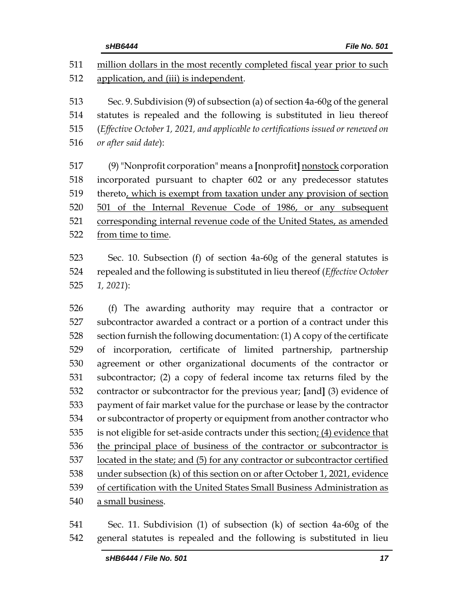million dollars in the most recently completed fiscal year prior to such application, and (iii) is independent. Sec. 9. Subdivision (9) of subsection (a) of section 4a-60g of the general statutes is repealed and the following is substituted in lieu thereof (*Effective October 1, 2021, and applicable to certifications issued or renewed on or after said date*): (9)"Nonprofit corporation" means a **[**nonprofit**]** nonstock corporation incorporated pursuant to chapter 602 or any predecessor statutes thereto, which is exempt from taxation under any provision of section 501 of the Internal Revenue Code of 1986, or any subsequent corresponding internal revenue code of the United States, as amended from time to time. Sec. 10. Subsection (f) of section 4a-60g of the general statutes is

 repealed and the following is substituted in lieu thereof (*Effective October 1, 2021*):

 (f) The awarding authority may require that a contractor or subcontractor awarded a contract or a portion of a contract under this section furnish the following documentation: (1) A copy of the certificate of incorporation, certificate of limited partnership, partnership agreement or other organizational documents of the contractor or subcontractor; (2) a copy of federal income tax returns filed by the contractor or subcontractor for the previous year; **[**and**]** (3) evidence of payment of fair market value for the purchase or lease by the contractor or subcontractor of property or equipment from another contractor who is not eligible for set-aside contracts under this section; (4) evidence that the principal place of business of the contractor or subcontractor is located in the state; and (5) for any contractor or subcontractor certified under subsection (k) of this section on or after October 1, 2021, evidence of certification with the United States Small Business Administration as a small business.

 Sec. 11. Subdivision (1) of subsection (k) of section 4a-60g of the general statutes is repealed and the following is substituted in lieu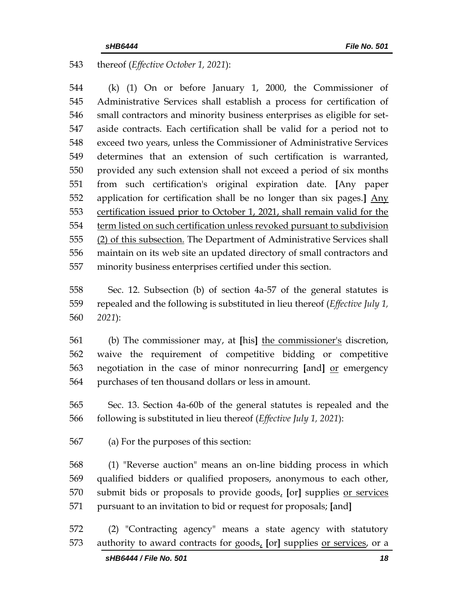thereof (*Effective October 1, 2021*):

 (k) (1) On or before January 1, 2000, the Commissioner of Administrative Services shall establish a process for certification of small contractors and minority business enterprises as eligible for set- aside contracts. Each certification shall be valid for a period not to exceed two years, unless the Commissioner of Administrative Services determines that an extension of such certification is warranted, provided any such extension shall not exceed a period of six months from such certification's original expiration date. **[**Any paper application for certification shall be no longer than six pages.**]** Any certification issued prior to October 1, 2021, shall remain valid for the term listed on such certification unless revoked pursuant to subdivision (2) of this subsection. The Department of Administrative Services shall maintain on its web site an updated directory of small contractors and minority business enterprises certified under this section.

 Sec. 12. Subsection (b) of section 4a-57 of the general statutes is repealed and the following is substituted in lieu thereof (*Effective July 1, 2021*):

 (b) The commissioner may, at **[**his**]** the commissioner's discretion, waive the requirement of competitive bidding or competitive negotiation in the case of minor nonrecurring **[**and**]** or emergency purchases of ten thousand dollars or less in amount.

 Sec. 13. Section 4a-60b of the general statutes is repealed and the following is substituted in lieu thereof (*Effective July 1, 2021*):

(a) For the purposes of this section:

 (1) "Reverse auction" means an on-line bidding process in which qualified bidders or qualified proposers, anonymous to each other, submit bids or proposals to provide goods, **[**or**]** supplies or services pursuant to an invitation to bid or request for proposals; **[**and**]**

 (2) "Contracting agency" means a state agency with statutory authority to award contracts for goods, **[**or**]** supplies or services, or a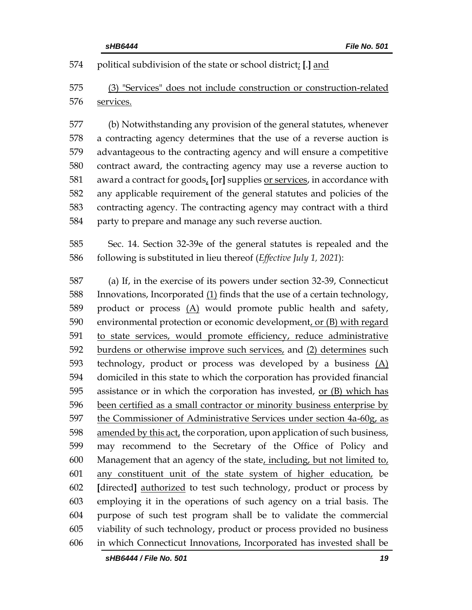political subdivision of the state or school district; **[**.**]** and

 (3) "Services" does not include construction or construction-related services.

 (b) Notwithstanding any provision of the general statutes, whenever a contracting agency determines that the use of a reverse auction is advantageous to the contracting agency and will ensure a competitive contract award, the contracting agency may use a reverse auction to award a contract for goods, **[**or**]** supplies or services, in accordance with any applicable requirement of the general statutes and policies of the contracting agency. The contracting agency may contract with a third party to prepare and manage any such reverse auction.

 Sec. 14. Section 32-39e of the general statutes is repealed and the following is substituted in lieu thereof (*Effective July 1, 2021*):

 (a) If, in the exercise of its powers under section 32-39, Connecticut Innovations, Incorporated (1) finds that the use of a certain technology, 589 product or process  $(A)$  would promote public health and safety, environmental protection or economic development, or (B) with regard to state services, would promote efficiency, reduce administrative burdens or otherwise improve such services, and (2) determines such technology, product or process was developed by a business (A) domiciled in this state to which the corporation has provided financial assistance or in which the corporation has invested, or (B) which has 596 been certified as a small contractor or minority business enterprise by the Commissioner of Administrative Services under section 4a-60g, as amended by this act, the corporation, upon application of such business, may recommend to the Secretary of the Office of Policy and Management that an agency of the state, including, but not limited to, any constituent unit of the state system of higher education, be **[**directed**]** authorized to test such technology, product or process by employing it in the operations of such agency on a trial basis. The purpose of such test program shall be to validate the commercial viability of such technology, product or process provided no business in which Connecticut Innovations, Incorporated has invested shall be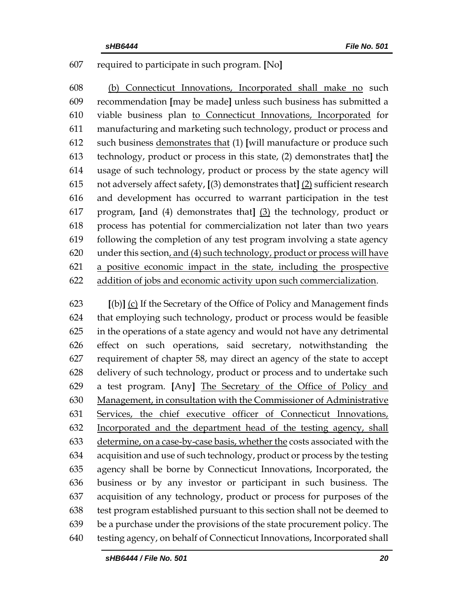## required to participate in such program. **[**No**]**

 (b) Connecticut Innovations, Incorporated shall make no such recommendation **[**may be made**]** unless such business has submitted a viable business plan to Connecticut Innovations, Incorporated for manufacturing and marketing such technology, product or process and such business demonstrates that (1) **[**will manufacture or produce such technology, product or process in this state, (2) demonstrates that**]** the usage of such technology, product or process by the state agency will not adversely affect safety, **[**(3) demonstrates that**]** (2) sufficient research and development has occurred to warrant participation in the test program, **[**and (4) demonstrates that**]** (3) the technology, product or process has potential for commercialization not later than two years following the completion of any test program involving a state agency under this section, and (4) such technology, product or process will have a positive economic impact in the state, including the prospective addition of jobs and economic activity upon such commercialization.

 **[**(b)**]** (c) If the Secretary of the Office of Policy and Management finds that employing such technology, product or process would be feasible in the operations of a state agency and would not have any detrimental effect on such operations, said secretary, notwithstanding the requirement of chapter 58, may direct an agency of the state to accept delivery of such technology, product or process and to undertake such a test program. **[**Any**]** The Secretary of the Office of Policy and Management, in consultation with the Commissioner of Administrative Services, the chief executive officer of Connecticut Innovations, Incorporated and the department head of the testing agency, shall determine, on a case-by-case basis, whether the costs associated with the acquisition and use of such technology, product or process by the testing agency shall be borne by Connecticut Innovations, Incorporated, the business or by any investor or participant in such business. The acquisition of any technology, product or process for purposes of the test program established pursuant to this section shall not be deemed to be a purchase under the provisions of the state procurement policy. The testing agency, on behalf of Connecticut Innovations, Incorporated shall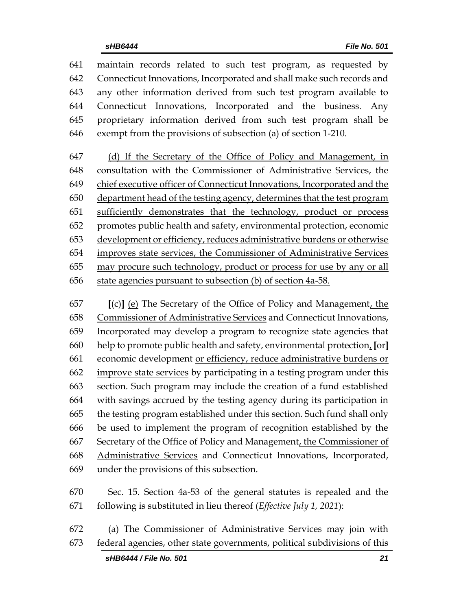maintain records related to such test program, as requested by Connecticut Innovations, Incorporated and shall make such records and any other information derived from such test program available to Connecticut Innovations, Incorporated and the business. Any proprietary information derived from such test program shall be exempt from the provisions of subsection (a) of section 1-210.

 (d) If the Secretary of the Office of Policy and Management, in consultation with the Commissioner of Administrative Services, the chief executive officer of Connecticut Innovations, Incorporated and the department head of the testing agency, determines that the test program sufficiently demonstrates that the technology, product or process promotes public health and safety, environmental protection, economic development or efficiency, reduces administrative burdens or otherwise improves state services, the Commissioner of Administrative Services may procure such technology, product or process for use by any or all state agencies pursuant to subsection (b) of section 4a-58.

 **[**(c)**]** (e) The Secretary of the Office of Policy and Management, the Commissioner of Administrative Services and Connecticut Innovations, Incorporated may develop a program to recognize state agencies that help to promote public health and safety, environmental protection, **[**or**]** economic development or efficiency, reduce administrative burdens or improve state services by participating in a testing program under this section. Such program may include the creation of a fund established with savings accrued by the testing agency during its participation in the testing program established under this section. Such fund shall only be used to implement the program of recognition established by the Secretary of the Office of Policy and Management, the Commissioner of Administrative Services and Connecticut Innovations, Incorporated, under the provisions of this subsection.

 Sec. 15. Section 4a-53 of the general statutes is repealed and the following is substituted in lieu thereof (*Effective July 1, 2021*):

 (a) The Commissioner of Administrative Services may join with federal agencies, other state governments, political subdivisions of this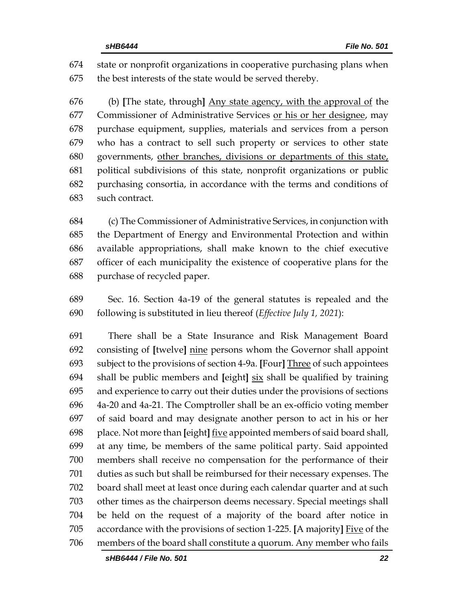state or nonprofit organizations in cooperative purchasing plans when the best interests of the state would be served thereby.

 (b) **[**The state, through**]** Any state agency, with the approval of the Commissioner of Administrative Services or his or her designee, may purchase equipment, supplies, materials and services from a person who has a contract to sell such property or services to other state governments, other branches, divisions or departments of this state, political subdivisions of this state, nonprofit organizations or public purchasing consortia, in accordance with the terms and conditions of such contract.

 (c) The Commissioner of Administrative Services, in conjunction with the Department of Energy and Environmental Protection and within available appropriations, shall make known to the chief executive officer of each municipality the existence of cooperative plans for the purchase of recycled paper.

 Sec. 16. Section 4a-19 of the general statutes is repealed and the following is substituted in lieu thereof (*Effective July 1, 2021*):

 There shall be a State Insurance and Risk Management Board consisting of **[**twelve**]** nine persons whom the Governor shall appoint subject to the provisions of section 4-9a. **[**Four**]** Three of such appointees shall be public members and **[**eight**]** six shall be qualified by training and experience to carry out their duties under the provisions of sections 4a-20 and 4a-21. The Comptroller shall be an ex-officio voting member of said board and may designate another person to act in his or her place. Not more than **[**eight**]** five appointed members of said board shall, at any time, be members of the same political party. Said appointed members shall receive no compensation for the performance of their duties as such but shall be reimbursed for their necessary expenses. The board shall meet at least once during each calendar quarter and at such other times as the chairperson deems necessary. Special meetings shall be held on the request of a majority of the board after notice in accordance with the provisions of section 1-225. **[**A majority**]** Five of the members of the board shall constitute a quorum. Any member who fails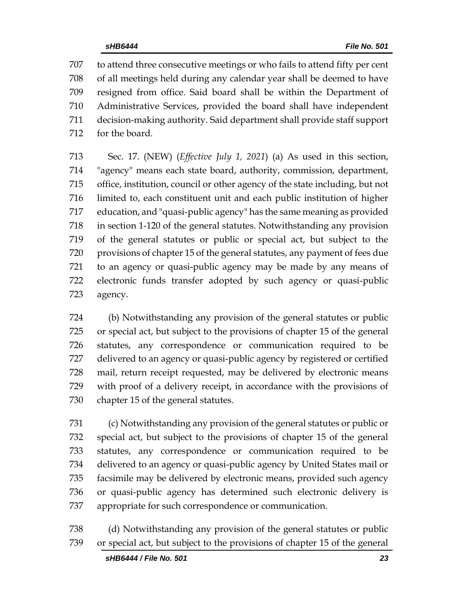to attend three consecutive meetings or who fails to attend fifty per cent of all meetings held during any calendar year shall be deemed to have resigned from office. Said board shall be within the Department of Administrative Services, provided the board shall have independent decision-making authority. Said department shall provide staff support for the board.

 Sec. 17. (NEW) (*Effective July 1, 2021*) (a) As used in this section, "agency" means each state board, authority, commission, department, office, institution, council or other agency of the state including, but not limited to, each constituent unit and each public institution of higher education, and "quasi-public agency" has the same meaning as provided in section 1-120 of the general statutes. Notwithstanding any provision of the general statutes or public or special act, but subject to the provisions of chapter 15 of the general statutes, any payment of fees due to an agency or quasi-public agency may be made by any means of electronic funds transfer adopted by such agency or quasi-public agency.

 (b) Notwithstanding any provision of the general statutes or public or special act, but subject to the provisions of chapter 15 of the general statutes, any correspondence or communication required to be delivered to an agency or quasi-public agency by registered or certified mail, return receipt requested, may be delivered by electronic means with proof of a delivery receipt, in accordance with the provisions of chapter 15 of the general statutes.

 (c) Notwithstanding any provision of the general statutes or public or special act, but subject to the provisions of chapter 15 of the general statutes, any correspondence or communication required to be delivered to an agency or quasi-public agency by United States mail or facsimile may be delivered by electronic means, provided such agency or quasi-public agency has determined such electronic delivery is appropriate for such correspondence or communication.

 (d) Notwithstanding any provision of the general statutes or public or special act, but subject to the provisions of chapter 15 of the general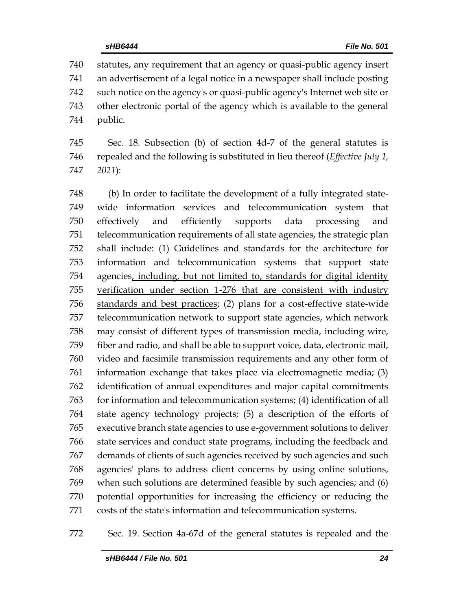statutes, any requirement that an agency or quasi-public agency insert an advertisement of a legal notice in a newspaper shall include posting such notice on the agency's or quasi-public agency's Internet web site or other electronic portal of the agency which is available to the general public.

 Sec. 18. Subsection (b) of section 4d-7 of the general statutes is repealed and the following is substituted in lieu thereof (*Effective July 1, 2021*):

 (b) In order to facilitate the development of a fully integrated state- wide information services and telecommunication system that effectively and efficiently supports data processing and telecommunication requirements of all state agencies, the strategic plan shall include: (1) Guidelines and standards for the architecture for information and telecommunication systems that support state agencies, including, but not limited to, standards for digital identity verification under section 1-276 that are consistent with industry standards and best practices; (2) plans for a cost-effective state-wide telecommunication network to support state agencies, which network may consist of different types of transmission media, including wire, fiber and radio, and shall be able to support voice, data, electronic mail, video and facsimile transmission requirements and any other form of information exchange that takes place via electromagnetic media; (3) identification of annual expenditures and major capital commitments for information and telecommunication systems; (4) identification of all state agency technology projects; (5) a description of the efforts of executive branch state agencies to use e-government solutions to deliver state services and conduct state programs, including the feedback and demands of clients of such agencies received by such agencies and such agencies' plans to address client concerns by using online solutions, when such solutions are determined feasible by such agencies; and (6) potential opportunities for increasing the efficiency or reducing the costs of the state's information and telecommunication systems.

Sec. 19. Section 4a-67d of the general statutes is repealed and the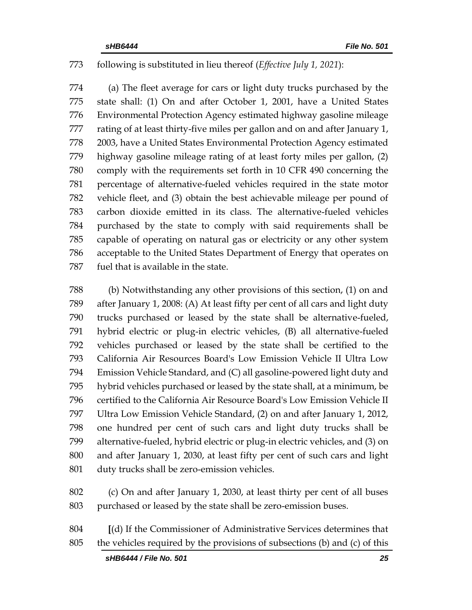### following is substituted in lieu thereof (*Effective July 1, 2021*):

 (a) The fleet average for cars or light duty trucks purchased by the state shall: (1) On and after October 1, 2001, have a United States Environmental Protection Agency estimated highway gasoline mileage rating of at least thirty-five miles per gallon and on and after January 1, 2003, have a United States Environmental Protection Agency estimated highway gasoline mileage rating of at least forty miles per gallon, (2) comply with the requirements set forth in 10 CFR 490 concerning the percentage of alternative-fueled vehicles required in the state motor vehicle fleet, and (3) obtain the best achievable mileage per pound of carbon dioxide emitted in its class. The alternative-fueled vehicles purchased by the state to comply with said requirements shall be capable of operating on natural gas or electricity or any other system acceptable to the United States Department of Energy that operates on fuel that is available in the state.

 (b) Notwithstanding any other provisions of this section, (1) on and after January 1, 2008: (A) At least fifty per cent of all cars and light duty trucks purchased or leased by the state shall be alternative-fueled, hybrid electric or plug-in electric vehicles, (B) all alternative-fueled vehicles purchased or leased by the state shall be certified to the California Air Resources Board's Low Emission Vehicle II Ultra Low Emission Vehicle Standard, and (C) all gasoline-powered light duty and hybrid vehicles purchased or leased by the state shall, at a minimum, be certified to the California Air Resource Board's Low Emission Vehicle II Ultra Low Emission Vehicle Standard, (2) on and after January 1, 2012, one hundred per cent of such cars and light duty trucks shall be alternative-fueled, hybrid electric or plug-in electric vehicles, and (3) on and after January 1, 2030, at least fifty per cent of such cars and light duty trucks shall be zero-emission vehicles.

- (c) On and after January 1, 2030, at least thirty per cent of all buses purchased or leased by the state shall be zero-emission buses.
- **[**(d) If the Commissioner of Administrative Services determines that the vehicles required by the provisions of subsections (b) and (c) of this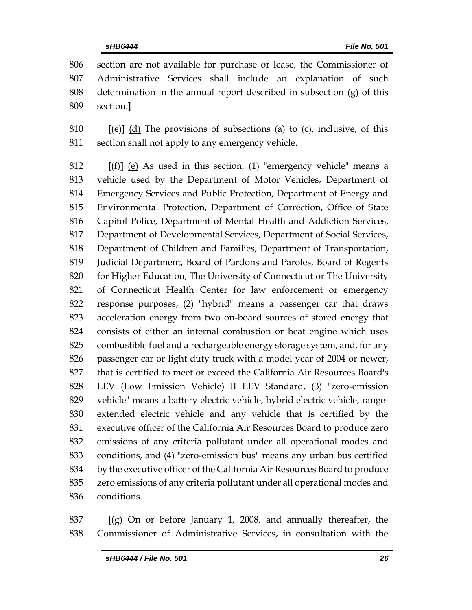section are not available for purchase or lease, the Commissioner of Administrative Services shall include an explanation of such determination in the annual report described in subsection (g) of this section.**]**

 **[**(e)**]** (d) The provisions of subsections (a) to (c), inclusive, of this section shall not apply to any emergency vehicle.

 **[**(f)**]** (e) As used in this section, (1) "emergency vehicle" means a vehicle used by the Department of Motor Vehicles, Department of Emergency Services and Public Protection, Department of Energy and Environmental Protection, Department of Correction, Office of State Capitol Police, Department of Mental Health and Addiction Services, Department of Developmental Services, Department of Social Services, Department of Children and Families, Department of Transportation, Judicial Department, Board of Pardons and Paroles, Board of Regents for Higher Education, The University of Connecticut or The University of Connecticut Health Center for law enforcement or emergency response purposes, (2) "hybrid" means a passenger car that draws acceleration energy from two on-board sources of stored energy that consists of either an internal combustion or heat engine which uses combustible fuel and a rechargeable energy storage system, and, for any passenger car or light duty truck with a model year of 2004 or newer, that is certified to meet or exceed the California Air Resources Board's LEV (Low Emission Vehicle) II LEV Standard, (3) "zero-emission vehicle" means a battery electric vehicle, hybrid electric vehicle, range- extended electric vehicle and any vehicle that is certified by the executive officer of the California Air Resources Board to produce zero emissions of any criteria pollutant under all operational modes and conditions, and (4) "zero-emission bus" means any urban bus certified by the executive officer of the California Air Resources Board to produce zero emissions of any criteria pollutant under all operational modes and conditions.

 **[**(g) On or before January 1, 2008, and annually thereafter, the Commissioner of Administrative Services, in consultation with the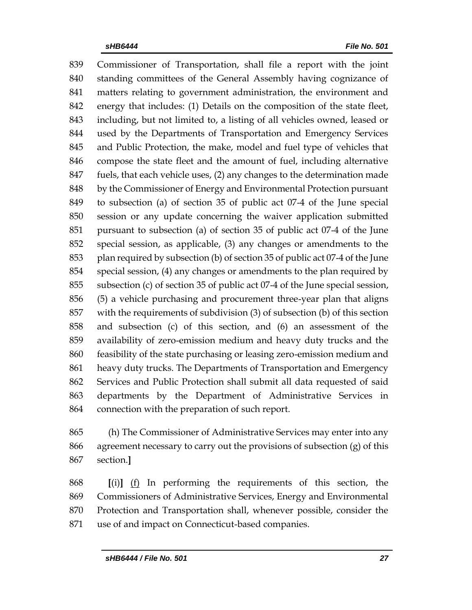Commissioner of Transportation, shall file a report with the joint standing committees of the General Assembly having cognizance of matters relating to government administration, the environment and energy that includes: (1) Details on the composition of the state fleet, including, but not limited to, a listing of all vehicles owned, leased or used by the Departments of Transportation and Emergency Services and Public Protection, the make, model and fuel type of vehicles that compose the state fleet and the amount of fuel, including alternative fuels, that each vehicle uses, (2) any changes to the determination made by the Commissioner of Energy and Environmental Protection pursuant to subsection (a) of section 35 of public act 07-4 of the June special session or any update concerning the waiver application submitted pursuant to subsection (a) of section 35 of public act 07-4 of the June special session, as applicable, (3) any changes or amendments to the plan required by subsection (b) of section 35 of public act 07-4 of the June special session, (4) any changes or amendments to the plan required by subsection (c) of section 35 of public act 07-4 of the June special session, (5) a vehicle purchasing and procurement three-year plan that aligns with the requirements of subdivision (3) of subsection (b) of this section and subsection (c) of this section, and (6) an assessment of the availability of zero-emission medium and heavy duty trucks and the feasibility of the state purchasing or leasing zero-emission medium and heavy duty trucks. The Departments of Transportation and Emergency Services and Public Protection shall submit all data requested of said departments by the Department of Administrative Services in connection with the preparation of such report.

 (h) The Commissioner of Administrative Services may enter into any agreement necessary to carry out the provisions of subsection (g) of this section.**]**

 **[**(i)**]** (f) In performing the requirements of this section, the Commissioners of Administrative Services, Energy and Environmental Protection and Transportation shall, whenever possible, consider the use of and impact on Connecticut-based companies.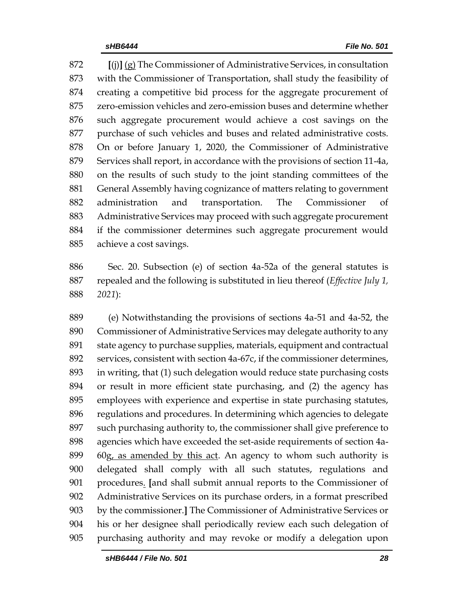**[**(j)**]** (g) The Commissioner of Administrative Services, in consultation with the Commissioner of Transportation, shall study the feasibility of creating a competitive bid process for the aggregate procurement of zero-emission vehicles and zero-emission buses and determine whether such aggregate procurement would achieve a cost savings on the purchase of such vehicles and buses and related administrative costs. On or before January 1, 2020, the Commissioner of Administrative Services shall report, in accordance with the provisions of section 11-4a, on the results of such study to the joint standing committees of the General Assembly having cognizance of matters relating to government administration and transportation. The Commissioner of Administrative Services may proceed with such aggregate procurement if the commissioner determines such aggregate procurement would achieve a cost savings.

 Sec. 20. Subsection (e) of section 4a-52a of the general statutes is repealed and the following is substituted in lieu thereof (*Effective July 1, 2021*):

 (e) Notwithstanding the provisions of sections 4a-51 and 4a-52, the Commissioner of Administrative Services may delegate authority to any state agency to purchase supplies, materials, equipment and contractual services, consistent with section 4a-67c, if the commissioner determines, in writing, that (1) such delegation would reduce state purchasing costs or result in more efficient state purchasing, and (2) the agency has employees with experience and expertise in state purchasing statutes, regulations and procedures. In determining which agencies to delegate such purchasing authority to, the commissioner shall give preference to agencies which have exceeded the set-aside requirements of section 4a- $60g<sub>1</sub>$  as amended by this act. An agency to whom such authority is delegated shall comply with all such statutes, regulations and procedures. **[**and shall submit annual reports to the Commissioner of Administrative Services on its purchase orders, in a format prescribed by the commissioner.**]** The Commissioner of Administrative Services or his or her designee shall periodically review each such delegation of purchasing authority and may revoke or modify a delegation upon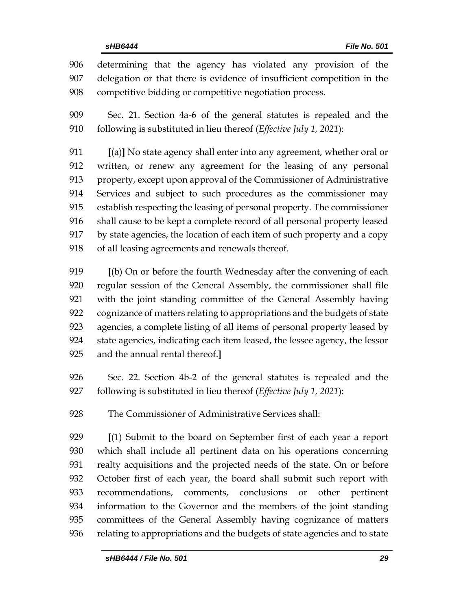determining that the agency has violated any provision of the delegation or that there is evidence of insufficient competition in the competitive bidding or competitive negotiation process.

 Sec. 21. Section 4a-6 of the general statutes is repealed and the following is substituted in lieu thereof (*Effective July 1, 2021*):

 **[**(a)**]** No state agency shall enter into any agreement, whether oral or written, or renew any agreement for the leasing of any personal property, except upon approval of the Commissioner of Administrative Services and subject to such procedures as the commissioner may establish respecting the leasing of personal property. The commissioner shall cause to be kept a complete record of all personal property leased by state agencies, the location of each item of such property and a copy of all leasing agreements and renewals thereof.

 **[**(b) On or before the fourth Wednesday after the convening of each regular session of the General Assembly, the commissioner shall file with the joint standing committee of the General Assembly having cognizance of matters relating to appropriations and the budgets of state agencies, a complete listing of all items of personal property leased by state agencies, indicating each item leased, the lessee agency, the lessor and the annual rental thereof.**]**

 Sec. 22. Section 4b-2 of the general statutes is repealed and the following is substituted in lieu thereof (*Effective July 1, 2021*):

The Commissioner of Administrative Services shall:

 **[**(1) Submit to the board on September first of each year a report which shall include all pertinent data on his operations concerning realty acquisitions and the projected needs of the state. On or before October first of each year, the board shall submit such report with recommendations, comments, conclusions or other pertinent information to the Governor and the members of the joint standing committees of the General Assembly having cognizance of matters relating to appropriations and the budgets of state agencies and to state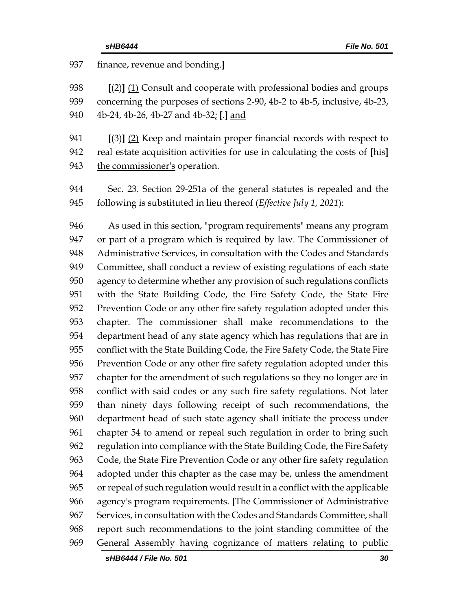finance, revenue and bonding.**] [**(2)**]** (1) Consult and cooperate with professional bodies and groups concerning the purposes of sections 2-90, 4b-2 to 4b-5, inclusive, 4b-23, 4b-24, 4b-26, 4b-27 and 4b-32; **[**.**]** and **[**(3)**]** (2) Keep and maintain proper financial records with respect to real estate acquisition activities for use in calculating the costs of **[**his**]** the commissioner's operation. Sec. 23. Section 29-251a of the general statutes is repealed and the following is substituted in lieu thereof (*Effective July 1, 2021*): As used in this section, "program requirements" means any program or part of a program which is required by law. The Commissioner of Administrative Services, in consultation with the Codes and Standards Committee, shall conduct a review of existing regulations of each state agency to determine whether any provision of such regulations conflicts with the State Building Code, the Fire Safety Code, the State Fire Prevention Code or any other fire safety regulation adopted under this chapter. The commissioner shall make recommendations to the department head of any state agency which has regulations that are in conflict with the State Building Code, the Fire Safety Code, the State Fire Prevention Code or any other fire safety regulation adopted under this chapter for the amendment of such regulations so they no longer are in conflict with said codes or any such fire safety regulations. Not later than ninety days following receipt of such recommendations, the department head of such state agency shall initiate the process under chapter 54 to amend or repeal such regulation in order to bring such regulation into compliance with the State Building Code, the Fire Safety Code, the State Fire Prevention Code or any other fire safety regulation adopted under this chapter as the case may be, unless the amendment or repeal of such regulation would result in a conflict with the applicable agency's program requirements. **[**The Commissioner of Administrative Services, in consultation with the Codes and Standards Committee, shall report such recommendations to the joint standing committee of the General Assembly having cognizance of matters relating to public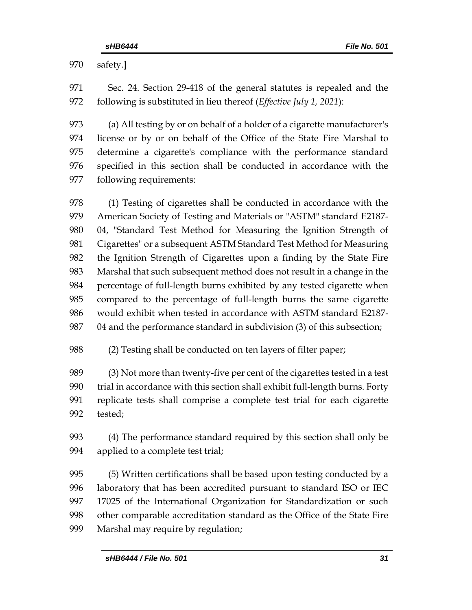safety.**]**

 Sec. 24. Section 29-418 of the general statutes is repealed and the following is substituted in lieu thereof (*Effective July 1, 2021*):

 (a) All testing by or on behalf of a holder of a cigarette manufacturer's license or by or on behalf of the Office of the State Fire Marshal to determine a cigarette's compliance with the performance standard specified in this section shall be conducted in accordance with the following requirements:

978 (1) Testing of cigarettes shall be conducted in accordance with the American Society of Testing and Materials or "ASTM" standard E2187- 04, "Standard Test Method for Measuring the Ignition Strength of Cigarettes" or a subsequent ASTM Standard Test Method for Measuring the Ignition Strength of Cigarettes upon a finding by the State Fire Marshal that such subsequent method does not result in a change in the percentage of full-length burns exhibited by any tested cigarette when compared to the percentage of full-length burns the same cigarette would exhibit when tested in accordance with ASTM standard E2187- 04 and the performance standard in subdivision (3) of this subsection;

(2) Testing shall be conducted on ten layers of filter paper;

 (3) Not more than twenty-five per cent of the cigarettes tested in a test trial in accordance with this section shall exhibit full-length burns. Forty replicate tests shall comprise a complete test trial for each cigarette tested;

 (4) The performance standard required by this section shall only be applied to a complete test trial;

 (5) Written certifications shall be based upon testing conducted by a laboratory that has been accredited pursuant to standard ISO or IEC 17025 of the International Organization for Standardization or such other comparable accreditation standard as the Office of the State Fire Marshal may require by regulation;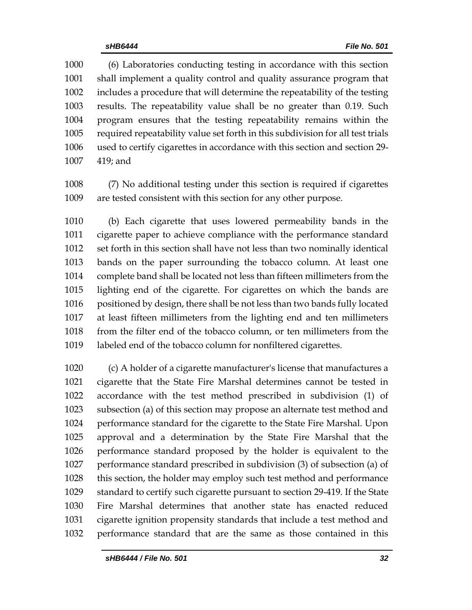(6) Laboratories conducting testing in accordance with this section shall implement a quality control and quality assurance program that includes a procedure that will determine the repeatability of the testing results. The repeatability value shall be no greater than 0.19. Such program ensures that the testing repeatability remains within the required repeatability value set forth in this subdivision for all test trials used to certify cigarettes in accordance with this section and section 29- 419; and

 (7) No additional testing under this section is required if cigarettes are tested consistent with this section for any other purpose.

 (b) Each cigarette that uses lowered permeability bands in the cigarette paper to achieve compliance with the performance standard set forth in this section shall have not less than two nominally identical bands on the paper surrounding the tobacco column. At least one complete band shall be located not less than fifteen millimeters from the lighting end of the cigarette. For cigarettes on which the bands are positioned by design, there shall be not less than two bands fully located at least fifteen millimeters from the lighting end and ten millimeters from the filter end of the tobacco column, or ten millimeters from the labeled end of the tobacco column for nonfiltered cigarettes.

 (c) A holder of a cigarette manufacturer's license that manufactures a cigarette that the State Fire Marshal determines cannot be tested in accordance with the test method prescribed in subdivision (1) of subsection (a) of this section may propose an alternate test method and performance standard for the cigarette to the State Fire Marshal. Upon approval and a determination by the State Fire Marshal that the performance standard proposed by the holder is equivalent to the performance standard prescribed in subdivision (3) of subsection (a) of this section, the holder may employ such test method and performance standard to certify such cigarette pursuant to section 29-419. If the State Fire Marshal determines that another state has enacted reduced cigarette ignition propensity standards that include a test method and performance standard that are the same as those contained in this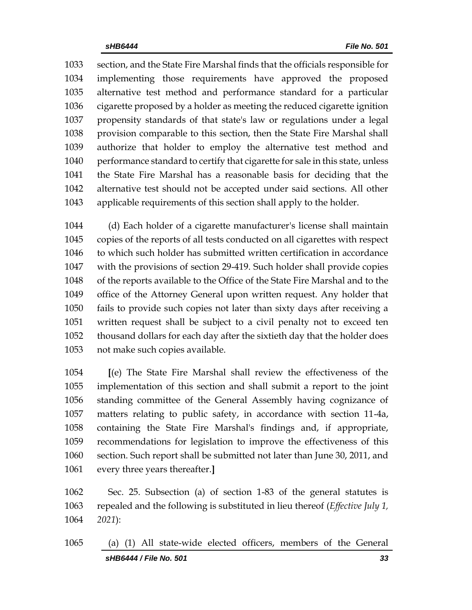section, and the State Fire Marshal finds that the officials responsible for implementing those requirements have approved the proposed alternative test method and performance standard for a particular cigarette proposed by a holder as meeting the reduced cigarette ignition propensity standards of that state's law or regulations under a legal provision comparable to this section, then the State Fire Marshal shall authorize that holder to employ the alternative test method and performance standard to certify that cigarette for sale in this state, unless the State Fire Marshal has a reasonable basis for deciding that the alternative test should not be accepted under said sections. All other applicable requirements of this section shall apply to the holder.

 (d) Each holder of a cigarette manufacturer's license shall maintain copies of the reports of all tests conducted on all cigarettes with respect to which such holder has submitted written certification in accordance with the provisions of section 29-419. Such holder shall provide copies of the reports available to the Office of the State Fire Marshal and to the office of the Attorney General upon written request. Any holder that fails to provide such copies not later than sixty days after receiving a written request shall be subject to a civil penalty not to exceed ten thousand dollars for each day after the sixtieth day that the holder does not make such copies available.

 **[**(e) The State Fire Marshal shall review the effectiveness of the implementation of this section and shall submit a report to the joint standing committee of the General Assembly having cognizance of matters relating to public safety, in accordance with section 11-4a, containing the State Fire Marshal's findings and, if appropriate, recommendations for legislation to improve the effectiveness of this section. Such report shall be submitted not later than June 30, 2011, and every three years thereafter.**]**

 Sec. 25. Subsection (a) of section 1-83 of the general statutes is repealed and the following is substituted in lieu thereof (*Effective July 1, 2021*):

*sHB6444 / File No. 501 33* (a) (1) All state-wide elected officers, members of the General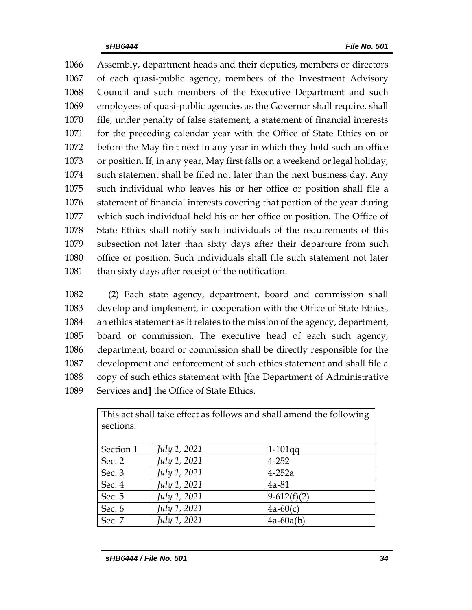Assembly, department heads and their deputies, members or directors of each quasi-public agency, members of the Investment Advisory Council and such members of the Executive Department and such employees of quasi-public agencies as the Governor shall require, shall file, under penalty of false statement, a statement of financial interests for the preceding calendar year with the Office of State Ethics on or before the May first next in any year in which they hold such an office or position. If, in any year, May first falls on a weekend or legal holiday, such statement shall be filed not later than the next business day. Any such individual who leaves his or her office or position shall file a statement of financial interests covering that portion of the year during which such individual held his or her office or position. The Office of State Ethics shall notify such individuals of the requirements of this subsection not later than sixty days after their departure from such office or position. Such individuals shall file such statement not later 1081 than sixty days after receipt of the notification.

 (2) Each state agency, department, board and commission shall develop and implement, in cooperation with the Office of State Ethics, an ethics statement as it relates to the mission of the agency, department, board or commission. The executive head of each such agency, department, board or commission shall be directly responsible for the development and enforcement of such ethics statement and shall file a copy of such ethics statement with **[**the Department of Administrative Services and**]** the Office of State Ethics.

| This act shall take effect as follows and shall amend the following<br>sections: |              |               |  |  |  |
|----------------------------------------------------------------------------------|--------------|---------------|--|--|--|
| Section 1                                                                        | July 1, 2021 | $1-101$ qq    |  |  |  |
| Sec. 2                                                                           | July 1, 2021 | $4 - 252$     |  |  |  |
| Sec. 3                                                                           | July 1, 2021 | $4-252a$      |  |  |  |
| Sec. 4                                                                           | July 1, 2021 | $4a-81$       |  |  |  |
| Sec. 5                                                                           | July 1, 2021 | $9-612(f)(2)$ |  |  |  |
| Sec. 6                                                                           | July 1, 2021 | $4a-60(c)$    |  |  |  |
| Sec. 7                                                                           | July 1, 2021 | $4a-60a(b)$   |  |  |  |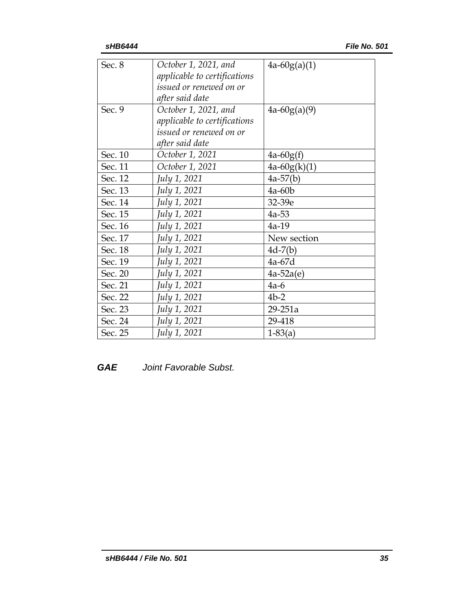| Sec. 8  | October 1, 2021, and         | $4a-60g(a)(1)$ |
|---------|------------------------------|----------------|
|         | applicable to certifications |                |
|         | issued or renewed on or      |                |
|         | after said date              |                |
| Sec. 9  | October 1, 2021, and         | $4a-60g(a)(9)$ |
|         | applicable to certifications |                |
|         | issued or renewed on or      |                |
|         | after said date              |                |
| Sec. 10 | October 1, 2021              | $4a-60g(f)$    |
| Sec. 11 | October 1, 2021              | $4a-60g(k)(1)$ |
| Sec. 12 | July 1, 2021                 | $4a-57(b)$     |
| Sec. 13 | July 1, 2021                 | $4a-60b$       |
| Sec. 14 | July 1, 2021                 | 32-39e         |
| Sec. 15 | July 1, 2021                 | $4a-53$        |
| Sec. 16 | July 1, 2021                 | $4a-19$        |
| Sec. 17 | July 1, 2021                 | New section    |
| Sec. 18 | July 1, 2021                 | $4d-7(b)$      |
| Sec. 19 | July 1, 2021                 | $4a-67d$       |
| Sec. 20 | July 1, 2021                 | $4a-52a(e)$    |
| Sec. 21 | July 1, 2021                 | $4a-6$         |
| Sec. 22 | July 1, 2021                 | $4b-2$         |
| Sec. 23 | July 1, 2021                 | 29-251a        |
| Sec. 24 | July 1, 2021                 | 29-418         |
| Sec. 25 | July 1, 2021                 | $1-83(a)$      |

## *GAE Joint Favorable Subst.*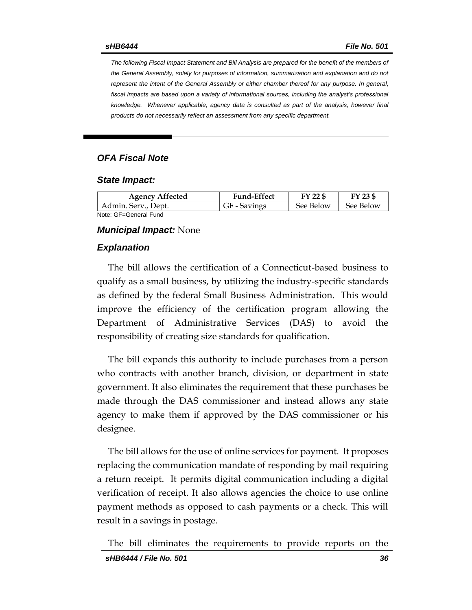*The following Fiscal Impact Statement and Bill Analysis are prepared for the benefit of the members of the General Assembly, solely for purposes of information, summarization and explanation and do not represent the intent of the General Assembly or either chamber thereof for any purpose. In general, fiscal impacts are based upon a variety of informational sources, including the analyst's professional knowledge. Whenever applicable, agency data is consulted as part of the analysis, however final products do not necessarily reflect an assessment from any specific department.*

## *OFA Fiscal Note*

#### *State Impact:*

| <b>Agency Affected</b> | <b>Fund-Effect</b> | $FY$ 22 $$$ | FY 23 \$  |
|------------------------|--------------------|-------------|-----------|
| Admin. Serv., Dept.    | GF - Savings       | See Below   | See Below |
| Note: GF=General Fund  |                    |             |           |

#### *Municipal Impact:* None

#### *Explanation*

The bill allows the certification of a Connecticut-based business to qualify as a small business, by utilizing the industry-specific standards as defined by the federal Small Business Administration. This would improve the efficiency of the certification program allowing the Department of Administrative Services (DAS) to avoid the responsibility of creating size standards for qualification.

The bill expands this authority to include purchases from a person who contracts with another branch, division, or department in state government. It also eliminates the requirement that these purchases be made through the DAS commissioner and instead allows any state agency to make them if approved by the DAS commissioner or his designee.

The bill allows for the use of online services for payment. It proposes replacing the communication mandate of responding by mail requiring a return receipt. It permits digital communication including a digital verification of receipt. It also allows agencies the choice to use online payment methods as opposed to cash payments or a check. This will result in a savings in postage.

The bill eliminates the requirements to provide reports on the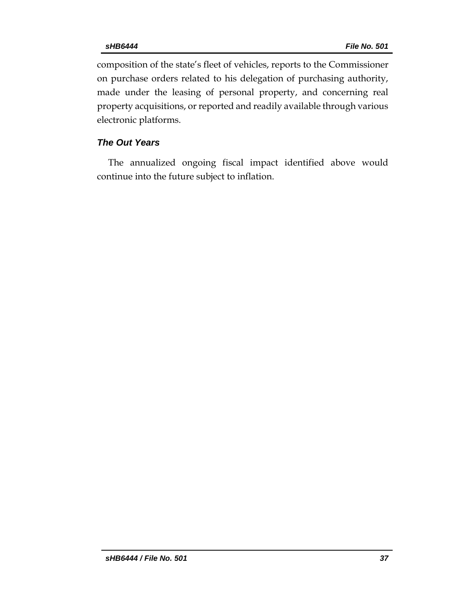composition of the state's fleet of vehicles, reports to the Commissioner on purchase orders related to his delegation of purchasing authority, made under the leasing of personal property, and concerning real property acquisitions, or reported and readily available through various electronic platforms.

## *The Out Years*

The annualized ongoing fiscal impact identified above would continue into the future subject to inflation.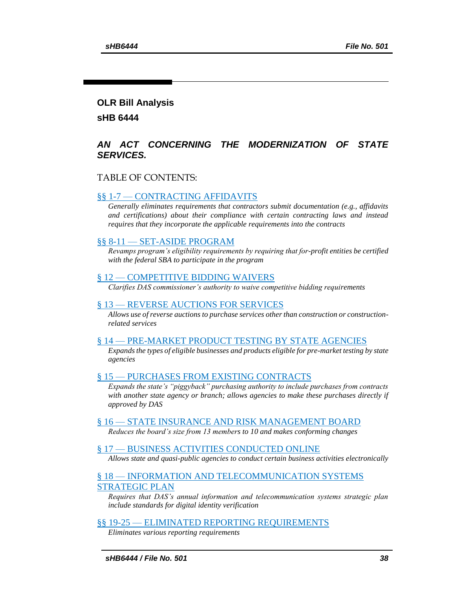#### **OLR Bill Analysis**

**sHB 6444**

### *AN ACT CONCERNING THE MODERNIZATION OF STATE SERVICES.*

### TABLE OF CONTENTS:

#### §§ 1-7 — [CONTRACTING](#page-38-0) AFFIDAVITS

*[Generally eliminates requirements that contractors submit documentation \(e.g., affidavits](#page-38-1)  [and certifications\) about their compliance with certain contracting laws and instead](#page-38-1)  [requires that they incorporate the applicable requirements into the contracts](#page-38-1)*

#### §§ 8-11 — [SET-ASIDE PROGRAM](#page-43-0)

*[Revamps program's eligibility requirements by requiring that for-profit entities be certified](#page-43-1)  [with the federal SBA to participate in the program](#page-43-1)*

#### § 12 — [COMPETITIVE BIDDING WAIVERS](#page-44-0)

*[Clarifies DAS commissioner's authority to waive competitive bidding requirements](#page-44-1)*

#### § 13 — [REVERSE AUCTIONS FOR SERVICES](#page-44-2)

*Allows use of reverse [auctions to purchase services other than construction or construction](#page-44-3)[related services](#page-44-3)*

#### § 14 — [PRE-MARKET PRODUCT TESTING BY STATE AGENCIES](#page-45-0)

*[Expands the types of eligible businesses and products eligible for pre-market testing by state](#page-45-1)  [agencies](#page-45-1)*

#### § 15 — [PURCHASES FROM EXISTING CONTRACTS](#page-47-0)

*[Expands the state's "piggyback" purchasing authority to include purchases from contracts](#page-47-1)  [with another state agency or branch; allows agencies to make these purchases directly if](#page-47-1)  [approved by DAS](#page-47-1)*

#### § 16 — [STATE INSURANCE AND RISK MANAGEMENT BOARD](#page-48-0)

*[Reduces the board's size from 13 members to 10 and makes conforming changes](#page-48-1)*

#### § 17 — [BUSINESS ACTIVITIES CONDUCTED ONLINE](#page-48-2)

*[Allows state and quasi-public agencies to conduct certain business activities electronically](#page-48-3)*

### § 18 — [INFORMATION AND TELECOMMUNICATION](#page-49-0) SYSTEMS [STRATEGIC PLAN](#page-49-0)

*[Requires that DAS's annual information and telecommunication systems strategic plan](#page-49-1)  [include standards for digital identity verification](#page-49-1)*

#### §§ 19-25 — [ELIMINATED REPORTING REQUIREMENTS](#page-49-2)

*[Eliminates various reporting requirements](#page-49-3)*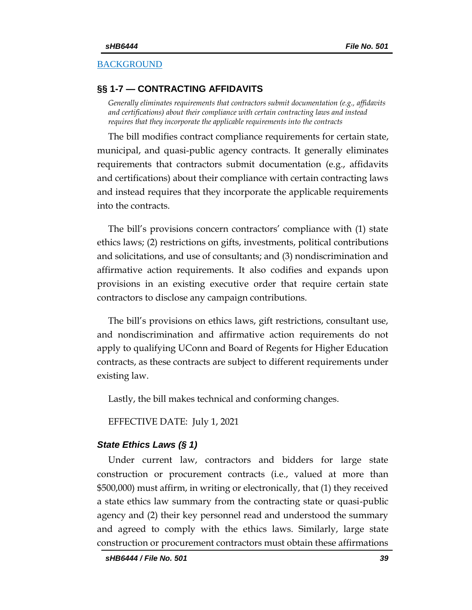## **[BACKGROUND](#page-50-0)**

## <span id="page-38-0"></span>**§§ 1-7 — CONTRACTING AFFIDAVITS**

<span id="page-38-1"></span>*Generally eliminates requirements that contractors submit documentation (e.g., affidavits and certifications) about their compliance with certain contracting laws and instead requires that they incorporate the applicable requirements into the contracts*

The bill modifies contract compliance requirements for certain state, municipal, and quasi-public agency contracts. It generally eliminates requirements that contractors submit documentation (e.g., affidavits and certifications) about their compliance with certain contracting laws and instead requires that they incorporate the applicable requirements into the contracts.

The bill's provisions concern contractors' compliance with (1) state ethics laws; (2) restrictions on gifts, investments, political contributions and solicitations, and use of consultants; and (3) nondiscrimination and affirmative action requirements. It also codifies and expands upon provisions in an existing executive order that require certain state contractors to disclose any campaign contributions.

The bill's provisions on ethics laws, gift restrictions, consultant use, and nondiscrimination and affirmative action requirements do not apply to qualifying UConn and Board of Regents for Higher Education contracts, as these contracts are subject to different requirements under existing law.

Lastly, the bill makes technical and conforming changes.

EFFECTIVE DATE: July 1, 2021

### *State Ethics Laws (§ 1)*

Under current law, contractors and bidders for large state construction or procurement contracts (i.e., valued at more than \$500,000) must affirm, in writing or electronically, that (1) they received a state ethics law summary from the contracting state or quasi-public agency and (2) their key personnel read and understood the summary and agreed to comply with the ethics laws. Similarly, large state construction or procurement contractors must obtain these affirmations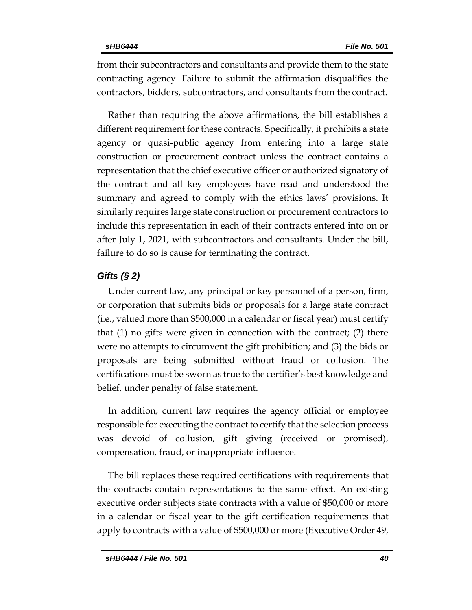from their subcontractors and consultants and provide them to the state contracting agency. Failure to submit the affirmation disqualifies the contractors, bidders, subcontractors, and consultants from the contract.

Rather than requiring the above affirmations, the bill establishes a different requirement for these contracts. Specifically, it prohibits a state agency or quasi-public agency from entering into a large state construction or procurement contract unless the contract contains a representation that the chief executive officer or authorized signatory of the contract and all key employees have read and understood the summary and agreed to comply with the ethics laws' provisions. It similarly requires large state construction or procurement contractors to include this representation in each of their contracts entered into on or after July 1, 2021, with subcontractors and consultants. Under the bill, failure to do so is cause for terminating the contract.

## *Gifts (§ 2)*

Under current law, any principal or key personnel of a person, firm, or corporation that submits bids or proposals for a large state contract (i.e., valued more than \$500,000 in a calendar or fiscal year) must certify that (1) no gifts were given in connection with the contract; (2) there were no attempts to circumvent the gift prohibition; and (3) the bids or proposals are being submitted without fraud or collusion. The certifications must be sworn as true to the certifier's best knowledge and belief, under penalty of false statement.

In addition, current law requires the agency official or employee responsible for executing the contract to certify that the selection process was devoid of collusion, gift giving (received or promised), compensation, fraud, or inappropriate influence.

The bill replaces these required certifications with requirements that the contracts contain representations to the same effect. An existing executive order subjects state contracts with a value of \$50,000 or more in a calendar or fiscal year to the gift certification requirements that apply to contracts with a value of \$500,000 or more (Executive Order 49,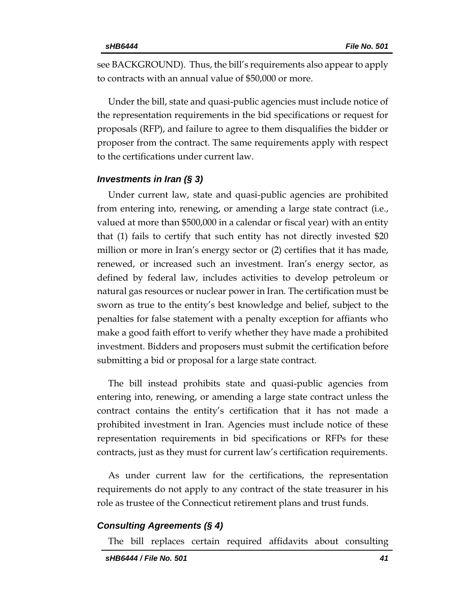see BACKGROUND). Thus, the bill's requirements also appear to apply to contracts with an annual value of \$50,000 or more.

Under the bill, state and quasi-public agencies must include notice of the representation requirements in the bid specifications or request for proposals (RFP), and failure to agree to them disqualifies the bidder or proposer from the contract. The same requirements apply with respect to the certifications under current law.

### *Investments in Iran (§ 3)*

Under current law, state and quasi-public agencies are prohibited from entering into, renewing, or amending a large state contract (i.e., valued at more than \$500,000 in a calendar or fiscal year) with an entity that (1) fails to certify that such entity has not directly invested \$20 million or more in Iran's energy sector or (2) certifies that it has made, renewed, or increased such an investment. Iran's energy sector, as defined by federal law, includes activities to develop petroleum or natural gas resources or nuclear power in Iran. The certification must be sworn as true to the entity's best knowledge and belief, subject to the penalties for false statement with a penalty exception for affiants who make a good faith effort to verify whether they have made a prohibited investment. Bidders and proposers must submit the certification before submitting a bid or proposal for a large state contract.

The bill instead prohibits state and quasi-public agencies from entering into, renewing, or amending a large state contract unless the contract contains the entity's certification that it has not made a prohibited investment in Iran. Agencies must include notice of these representation requirements in bid specifications or RFPs for these contracts, just as they must for current law's certification requirements.

As under current law for the certifications, the representation requirements do not apply to any contract of the state treasurer in his role as trustee of the Connecticut retirement plans and trust funds.

### *Consulting Agreements (§ 4)*

The bill replaces certain required affidavits about consulting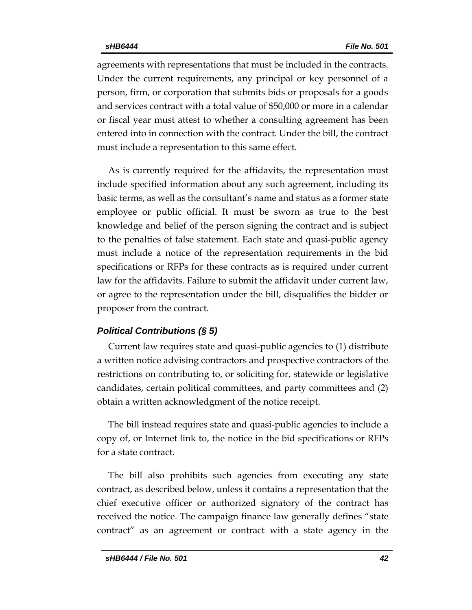agreements with representations that must be included in the contracts. Under the current requirements, any principal or key personnel of a person, firm, or corporation that submits bids or proposals for a goods and services contract with a total value of \$50,000 or more in a calendar or fiscal year must attest to whether a consulting agreement has been entered into in connection with the contract. Under the bill, the contract must include a representation to this same effect.

As is currently required for the affidavits, the representation must include specified information about any such agreement, including its basic terms, as well as the consultant's name and status as a former state employee or public official. It must be sworn as true to the best knowledge and belief of the person signing the contract and is subject to the penalties of false statement. Each state and quasi-public agency must include a notice of the representation requirements in the bid specifications or RFPs for these contracts as is required under current law for the affidavits. Failure to submit the affidavit under current law, or agree to the representation under the bill, disqualifies the bidder or proposer from the contract.

## *Political Contributions (§ 5)*

Current law requires state and quasi-public agencies to (1) distribute a written notice advising contractors and prospective contractors of the restrictions on contributing to, or soliciting for, statewide or legislative candidates, certain political committees, and party committees and (2) obtain a written acknowledgment of the notice receipt.

The bill instead requires state and quasi-public agencies to include a copy of, or Internet link to, the notice in the bid specifications or RFPs for a state contract.

The bill also prohibits such agencies from executing any state contract, as described below, unless it contains a representation that the chief executive officer or authorized signatory of the contract has received the notice. The campaign finance law generally defines "state contract" as an agreement or contract with a state agency in the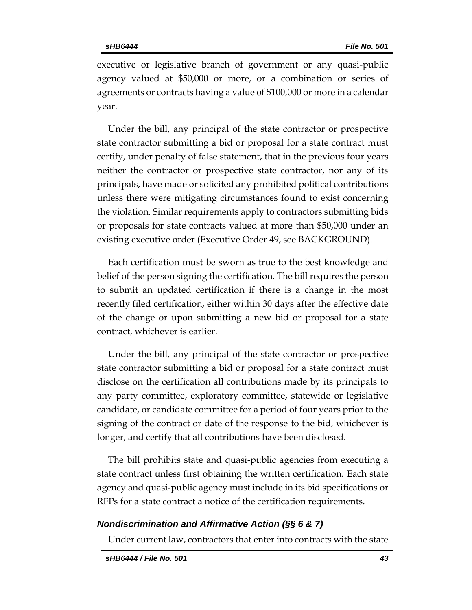executive or legislative branch of government or any quasi-public agency valued at \$50,000 or more, or a combination or series of agreements or contracts having a value of \$100,000 or more in a calendar year.

Under the bill, any principal of the state contractor or prospective state contractor submitting a bid or proposal for a state contract must certify, under penalty of false statement, that in the previous four years neither the contractor or prospective state contractor, nor any of its principals, have made or solicited any prohibited political contributions unless there were mitigating circumstances found to exist concerning the violation. Similar requirements apply to contractors submitting bids or proposals for state contracts valued at more than \$50,000 under an existing executive order (Executive Order 49, see BACKGROUND).

Each certification must be sworn as true to the best knowledge and belief of the person signing the certification. The bill requires the person to submit an updated certification if there is a change in the most recently filed certification, either within 30 days after the effective date of the change or upon submitting a new bid or proposal for a state contract, whichever is earlier.

Under the bill, any principal of the state contractor or prospective state contractor submitting a bid or proposal for a state contract must disclose on the certification all contributions made by its principals to any party committee, exploratory committee, statewide or legislative candidate, or candidate committee for a period of four years prior to the signing of the contract or date of the response to the bid, whichever is longer, and certify that all contributions have been disclosed.

The bill prohibits state and quasi-public agencies from executing a state contract unless first obtaining the written certification. Each state agency and quasi-public agency must include in its bid specifications or RFPs for a state contract a notice of the certification requirements.

## *Nondiscrimination and Affirmative Action (§§ 6 & 7)*

Under current law, contractors that enter into contracts with the state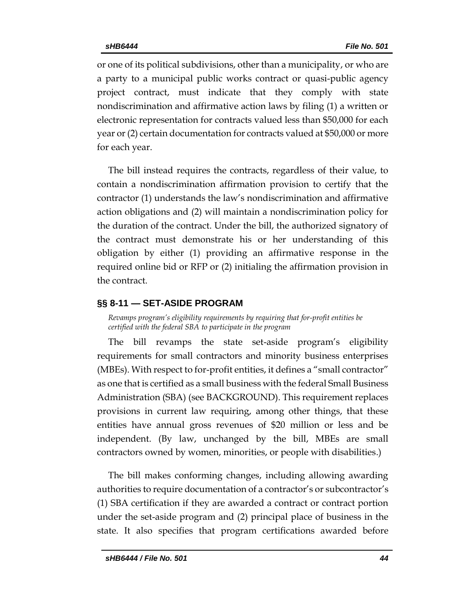or one of its political subdivisions, other than a municipality, or who are a party to a municipal public works contract or quasi-public agency project contract, must indicate that they comply with state nondiscrimination and affirmative action laws by filing (1) a written or electronic representation for contracts valued less than \$50,000 for each year or (2) certain documentation for contracts valued at \$50,000 or more for each year.

The bill instead requires the contracts, regardless of their value, to contain a nondiscrimination affirmation provision to certify that the contractor (1) understands the law's nondiscrimination and affirmative action obligations and (2) will maintain a nondiscrimination policy for the duration of the contract. Under the bill, the authorized signatory of the contract must demonstrate his or her understanding of this obligation by either (1) providing an affirmative response in the required online bid or RFP or (2) initialing the affirmation provision in the contract.

## <span id="page-43-0"></span>**§§ 8-11 — SET-ASIDE PROGRAM**

<span id="page-43-1"></span>*Revamps program's eligibility requirements by requiring that for-profit entities be certified with the federal SBA to participate in the program*

The bill revamps the state set-aside program's eligibility requirements for small contractors and minority business enterprises (MBEs). With respect to for-profit entities, it defines a "small contractor" as one that is certified as a small business with the federal Small Business Administration (SBA) (see BACKGROUND). This requirement replaces provisions in current law requiring, among other things, that these entities have annual gross revenues of \$20 million or less and be independent. (By law, unchanged by the bill, MBEs are small contractors owned by women, minorities, or people with disabilities.)

The bill makes conforming changes, including allowing awarding authorities to require documentation of a contractor's or subcontractor's (1) SBA certification if they are awarded a contract or contract portion under the set-aside program and (2) principal place of business in the state. It also specifies that program certifications awarded before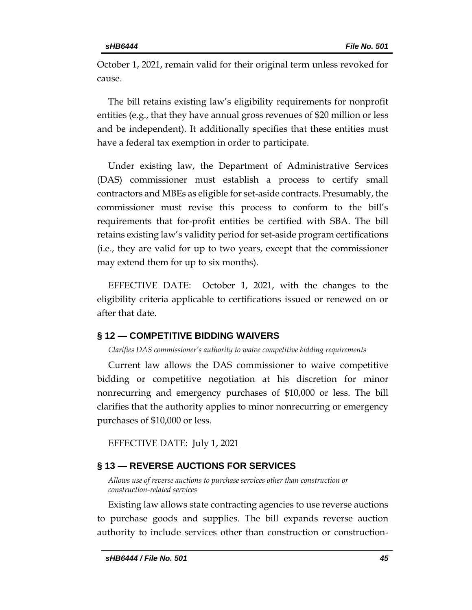October 1, 2021, remain valid for their original term unless revoked for cause.

The bill retains existing law's eligibility requirements for nonprofit entities (e.g., that they have annual gross revenues of \$20 million or less and be independent). It additionally specifies that these entities must have a federal tax exemption in order to participate.

Under existing law, the Department of Administrative Services (DAS) commissioner must establish a process to certify small contractors and MBEs as eligible for set-aside contracts. Presumably, the commissioner must revise this process to conform to the bill's requirements that for-profit entities be certified with SBA. The bill retains existing law's validity period for set-aside program certifications (i.e., they are valid for up to two years, except that the commissioner may extend them for up to six months).

EFFECTIVE DATE: October 1, 2021, with the changes to the eligibility criteria applicable to certifications issued or renewed on or after that date.

## <span id="page-44-0"></span>**§ 12 — COMPETITIVE BIDDING WAIVERS**

<span id="page-44-1"></span>*Clarifies DAS commissioner's authority to waive competitive bidding requirements*

Current law allows the DAS commissioner to waive competitive bidding or competitive negotiation at his discretion for minor nonrecurring and emergency purchases of \$10,000 or less. The bill clarifies that the authority applies to minor nonrecurring or emergency purchases of \$10,000 or less.

EFFECTIVE DATE: July 1, 2021

## <span id="page-44-2"></span>**§ 13 — REVERSE AUCTIONS FOR SERVICES**

<span id="page-44-3"></span>*Allows use of reverse auctions to purchase services other than construction or construction-related services*

Existing law allows state contracting agencies to use reverse auctions to purchase goods and supplies. The bill expands reverse auction authority to include services other than construction or construction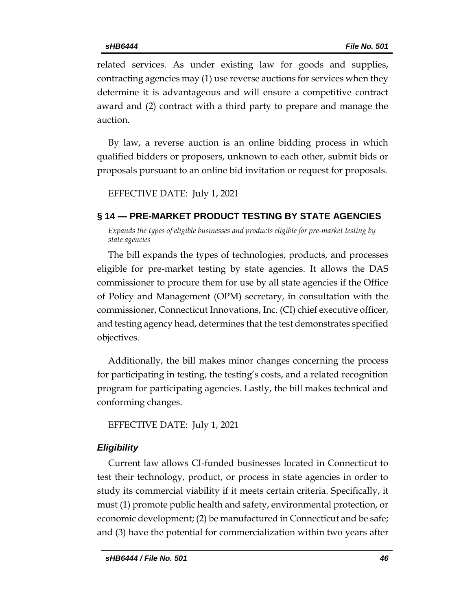related services. As under existing law for goods and supplies, contracting agencies may (1) use reverse auctions for services when they determine it is advantageous and will ensure a competitive contract award and (2) contract with a third party to prepare and manage the auction.

By law, a reverse auction is an online bidding process in which qualified bidders or proposers, unknown to each other, submit bids or proposals pursuant to an online bid invitation or request for proposals.

EFFECTIVE DATE: July 1, 2021

## <span id="page-45-0"></span>**§ 14 — PRE-MARKET PRODUCT TESTING BY STATE AGENCIES**

<span id="page-45-1"></span>*Expands the types of eligible businesses and products eligible for pre-market testing by state agencies*

The bill expands the types of technologies, products, and processes eligible for pre-market testing by state agencies. It allows the DAS commissioner to procure them for use by all state agencies if the Office of Policy and Management (OPM) secretary, in consultation with the commissioner, Connecticut Innovations, Inc. (CI) chief executive officer, and testing agency head, determines that the test demonstrates specified objectives.

Additionally, the bill makes minor changes concerning the process for participating in testing, the testing's costs, and a related recognition program for participating agencies. Lastly, the bill makes technical and conforming changes.

EFFECTIVE DATE: July 1, 2021

## *Eligibility*

Current law allows CI-funded businesses located in Connecticut to test their technology, product, or process in state agencies in order to study its commercial viability if it meets certain criteria. Specifically, it must (1) promote public health and safety, environmental protection, or economic development; (2) be manufactured in Connecticut and be safe; and (3) have the potential for commercialization within two years after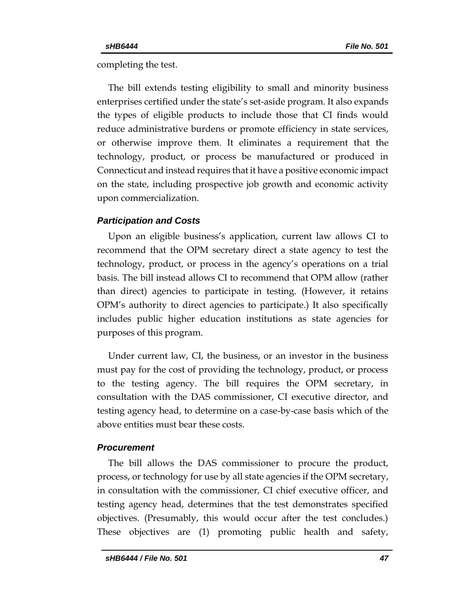completing the test.

The bill extends testing eligibility to small and minority business enterprises certified under the state's set-aside program. It also expands the types of eligible products to include those that CI finds would reduce administrative burdens or promote efficiency in state services, or otherwise improve them. It eliminates a requirement that the technology, product, or process be manufactured or produced in Connecticut and instead requires that it have a positive economic impact on the state, including prospective job growth and economic activity upon commercialization.

## *Participation and Costs*

Upon an eligible business's application, current law allows CI to recommend that the OPM secretary direct a state agency to test the technology, product, or process in the agency's operations on a trial basis. The bill instead allows CI to recommend that OPM allow (rather than direct) agencies to participate in testing. (However, it retains OPM's authority to direct agencies to participate.) It also specifically includes public higher education institutions as state agencies for purposes of this program.

Under current law, CI, the business, or an investor in the business must pay for the cost of providing the technology, product, or process to the testing agency. The bill requires the OPM secretary, in consultation with the DAS commissioner, CI executive director, and testing agency head, to determine on a case-by-case basis which of the above entities must bear these costs.

## *Procurement*

The bill allows the DAS commissioner to procure the product, process, or technology for use by all state agencies if the OPM secretary, in consultation with the commissioner, CI chief executive officer, and testing agency head, determines that the test demonstrates specified objectives. (Presumably, this would occur after the test concludes.) These objectives are (1) promoting public health and safety,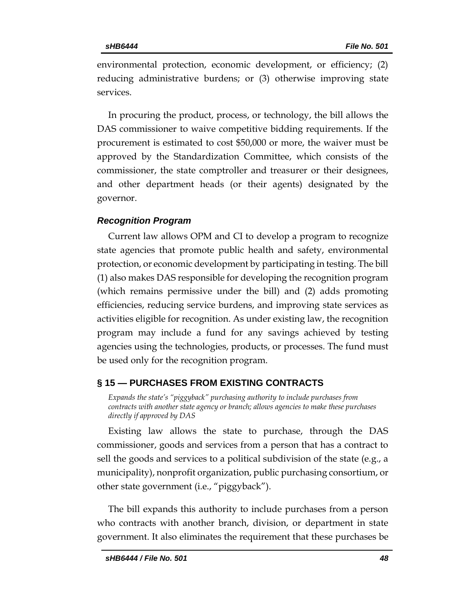environmental protection, economic development, or efficiency; (2) reducing administrative burdens; or (3) otherwise improving state services.

In procuring the product, process, or technology, the bill allows the DAS commissioner to waive competitive bidding requirements. If the procurement is estimated to cost \$50,000 or more, the waiver must be approved by the Standardization Committee, which consists of the commissioner, the state comptroller and treasurer or their designees, and other department heads (or their agents) designated by the governor.

## *Recognition Program*

Current law allows OPM and CI to develop a program to recognize state agencies that promote public health and safety, environmental protection, or economic development by participating in testing. The bill (1) also makes DAS responsible for developing the recognition program (which remains permissive under the bill) and (2) adds promoting efficiencies, reducing service burdens, and improving state services as activities eligible for recognition. As under existing law, the recognition program may include a fund for any savings achieved by testing agencies using the technologies, products, or processes. The fund must be used only for the recognition program.

## <span id="page-47-0"></span>**§ 15 — PURCHASES FROM EXISTING CONTRACTS**

<span id="page-47-1"></span>*Expands the state's "piggyback" purchasing authority to include purchases from contracts with another state agency or branch; allows agencies to make these purchases directly if approved by DAS*

Existing law allows the state to purchase, through the DAS commissioner, goods and services from a person that has a contract to sell the goods and services to a political subdivision of the state (e.g., a municipality), nonprofit organization, public purchasing consortium, or other state government (i.e., "piggyback").

The bill expands this authority to include purchases from a person who contracts with another branch, division, or department in state government. It also eliminates the requirement that these purchases be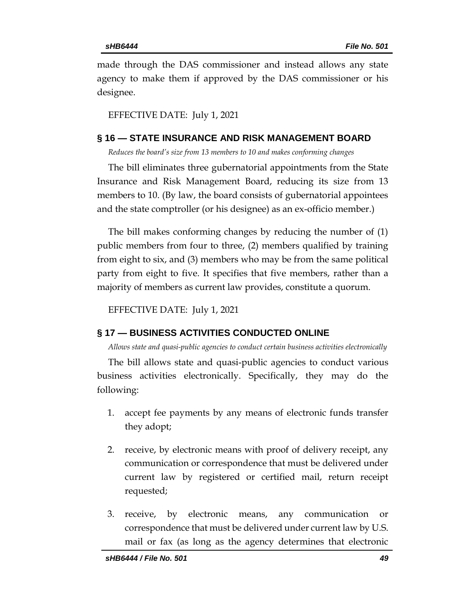made through the DAS commissioner and instead allows any state agency to make them if approved by the DAS commissioner or his designee.

EFFECTIVE DATE: July 1, 2021

### <span id="page-48-0"></span>**§ 16 — STATE INSURANCE AND RISK MANAGEMENT BOARD**

<span id="page-48-1"></span>*Reduces the board's size from 13 members to 10 and makes conforming changes*

The bill eliminates three gubernatorial appointments from the State Insurance and Risk Management Board, reducing its size from 13 members to 10. (By law, the board consists of gubernatorial appointees and the state comptroller (or his designee) as an ex-officio member.)

The bill makes conforming changes by reducing the number of (1) public members from four to three, (2) members qualified by training from eight to six, and (3) members who may be from the same political party from eight to five. It specifies that five members, rather than a majority of members as current law provides, constitute a quorum.

EFFECTIVE DATE: July 1, 2021

### <span id="page-48-2"></span>**§ 17 — BUSINESS ACTIVITIES CONDUCTED ONLINE**

<span id="page-48-3"></span>*Allows state and quasi-public agencies to conduct certain business activities electronically*

The bill allows state and quasi-public agencies to conduct various business activities electronically. Specifically, they may do the following:

- 1. accept fee payments by any means of electronic funds transfer they adopt;
- 2. receive, by electronic means with proof of delivery receipt, any communication or correspondence that must be delivered under current law by registered or certified mail, return receipt requested;
- 3. receive, by electronic means, any communication or correspondence that must be delivered under current law by U.S. mail or fax (as long as the agency determines that electronic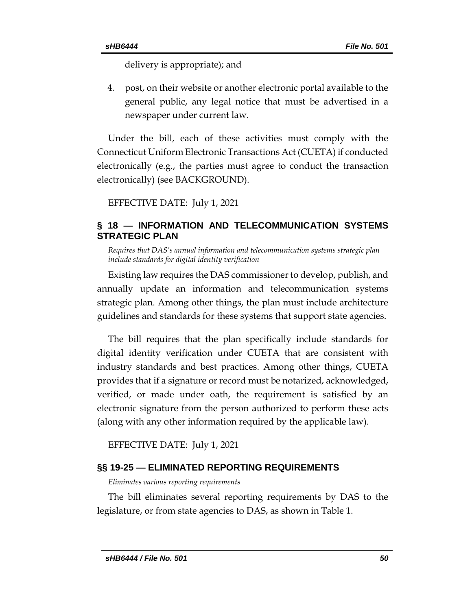delivery is appropriate); and

4. post, on their website or another electronic portal available to the general public, any legal notice that must be advertised in a newspaper under current law.

Under the bill, each of these activities must comply with the Connecticut Uniform Electronic Transactions Act (CUETA) if conducted electronically (e.g., the parties must agree to conduct the transaction electronically) (see BACKGROUND).

EFFECTIVE DATE: July 1, 2021

## <span id="page-49-0"></span>**§ 18 — INFORMATION AND TELECOMMUNICATION SYSTEMS STRATEGIC PLAN**

<span id="page-49-1"></span>*Requires that DAS's annual information and telecommunication systems strategic plan include standards for digital identity verification*

Existing law requires the DAS commissioner to develop, publish, and annually update an information and telecommunication systems strategic plan. Among other things, the plan must include architecture guidelines and standards for these systems that support state agencies.

The bill requires that the plan specifically include standards for digital identity verification under CUETA that are consistent with industry standards and best practices. Among other things, CUETA provides that if a signature or record must be notarized, acknowledged, verified, or made under oath, the requirement is satisfied by an electronic signature from the person authorized to perform these acts (along with any other information required by the applicable law).

EFFECTIVE DATE: July 1, 2021

## <span id="page-49-2"></span>**§§ 19-25 — ELIMINATED REPORTING REQUIREMENTS**

<span id="page-49-3"></span>*Eliminates various reporting requirements*

The bill eliminates several reporting requirements by DAS to the legislature, or from state agencies to DAS, as shown in Table 1.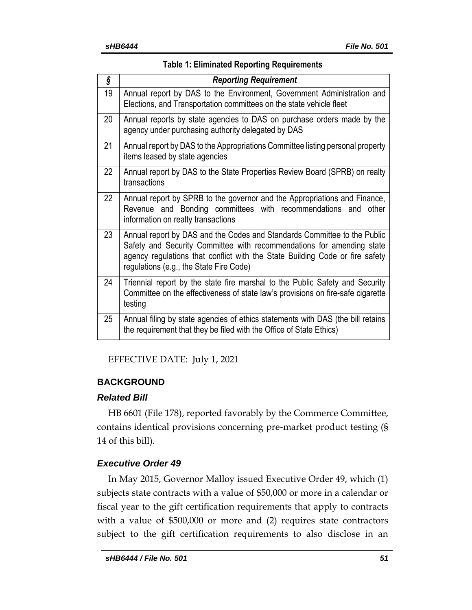| ş  | <b>Reporting Requirement</b>                                                                                                                                                                                                                                                 |
|----|------------------------------------------------------------------------------------------------------------------------------------------------------------------------------------------------------------------------------------------------------------------------------|
| 19 | Annual report by DAS to the Environment, Government Administration and<br>Elections, and Transportation committees on the state vehicle fleet                                                                                                                                |
| 20 | Annual reports by state agencies to DAS on purchase orders made by the<br>agency under purchasing authority delegated by DAS                                                                                                                                                 |
| 21 | Annual report by DAS to the Appropriations Committee listing personal property<br>items leased by state agencies                                                                                                                                                             |
| 22 | Annual report by DAS to the State Properties Review Board (SPRB) on realty<br>transactions                                                                                                                                                                                   |
| 22 | Annual report by SPRB to the governor and the Appropriations and Finance,<br>Revenue and Bonding committees with recommendations and other<br>information on realty transactions                                                                                             |
| 23 | Annual report by DAS and the Codes and Standards Committee to the Public<br>Safety and Security Committee with recommendations for amending state<br>agency regulations that conflict with the State Building Code or fire safety<br>regulations (e.g., the State Fire Code) |
| 24 | Triennial report by the state fire marshal to the Public Safety and Security<br>Committee on the effectiveness of state law's provisions on fire-safe cigarette<br>testing                                                                                                   |
| 25 | Annual filing by state agencies of ethics statements with DAS (the bill retains<br>the requirement that they be filed with the Office of State Ethics)                                                                                                                       |

EFFECTIVE DATE: July 1, 2021

## <span id="page-50-0"></span>**BACKGROUND**

## *Related Bill*

HB 6601 (File 178), reported favorably by the Commerce Committee, contains identical provisions concerning pre-market product testing (§ 14 of this bill).

## *Executive Order 49*

In May 2015, Governor Malloy issued Executive Order 49, which (1) subjects state contracts with a value of \$50,000 or more in a calendar or fiscal year to the gift certification requirements that apply to contracts with a value of \$500,000 or more and (2) requires state contractors subject to the gift certification requirements to also disclose in an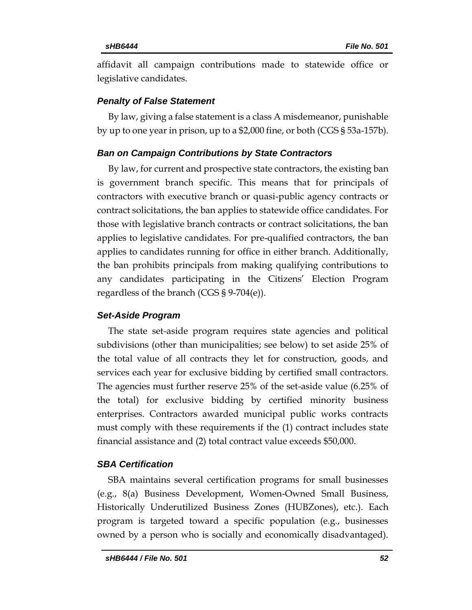affidavit all campaign contributions made to statewide office or legislative candidates.

## *Penalty of False Statement*

By law, giving a false statement is a class A misdemeanor, punishable by up to one year in prison, up to a \$2,000 fine, or both (CGS § 53a-157b).

## *Ban on Campaign Contributions by State Contractors*

By law, for current and prospective state contractors, the existing ban is government branch specific. This means that for principals of contractors with executive branch or quasi-public agency contracts or contract solicitations, the ban applies to statewide office candidates. For those with legislative branch contracts or contract solicitations, the ban applies to legislative candidates. For pre-qualified contractors, the ban applies to candidates running for office in either branch. Additionally, the ban prohibits principals from making qualifying contributions to any candidates participating in the Citizens' Election Program regardless of the branch (CGS § 9-704(e)).

## *Set-Aside Program*

The state set-aside program requires state agencies and political subdivisions (other than municipalities; see below) to set aside 25% of the total value of all contracts they let for construction, goods, and services each year for exclusive bidding by certified small contractors. The agencies must further reserve 25% of the set-aside value (6.25% of the total) for exclusive bidding by certified minority business enterprises. Contractors awarded municipal public works contracts must comply with these requirements if the (1) contract includes state financial assistance and (2) total contract value exceeds \$50,000.

## *SBA Certification*

SBA maintains several certification programs for small businesses (e.g., 8(a) Business Development, Women-Owned Small Business, Historically Underutilized Business Zones (HUBZones), etc.). Each program is targeted toward a specific population (e.g., businesses owned by a person who is socially and economically disadvantaged).